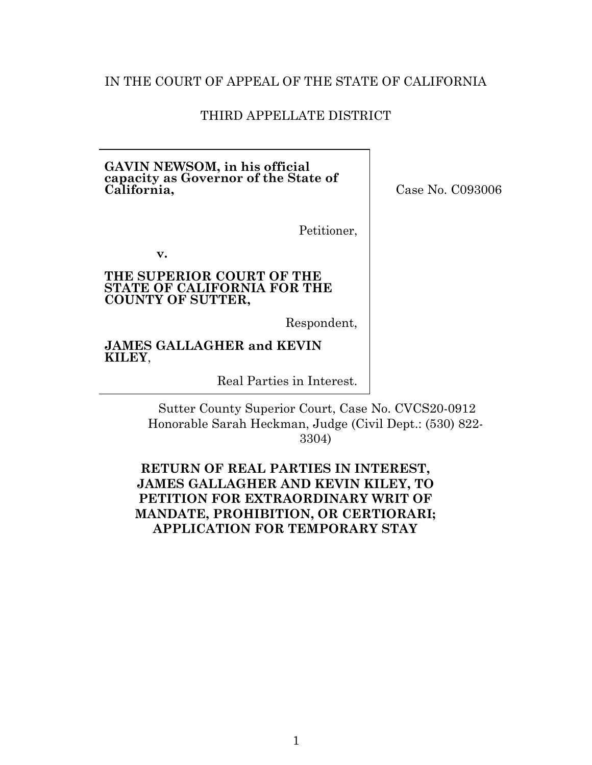## IN THE COURT OF APPEAL OF THE STATE OF CALIFORNIA

### THIRD APPELLATE DISTRICT

#### **GAVIN NEWSOM, in his official capacity as Governor of the State of California,**

Case No. C093006

Petitioner,

**v.**

#### **THE SUPERIOR COURT OF THE STATE OF CALIFORNIA FOR THE COUNTY OF SUTTER,**

Respondent,

**JAMES GALLAGHER and KEVIN KILEY**,

Real Parties in Interest.

Sutter County Superior Court, Case No. CVCS20-0912 Honorable Sarah Heckman, Judge (Civil Dept.: (530) 822- 3304)

## **RETURN OF REAL PARTIES IN INTEREST, JAMES GALLAGHER AND KEVIN KILEY, TO PETITION FOR EXTRAORDINARY WRIT OF MANDATE, PROHIBITION, OR CERTIORARI; APPLICATION FOR TEMPORARY STAY**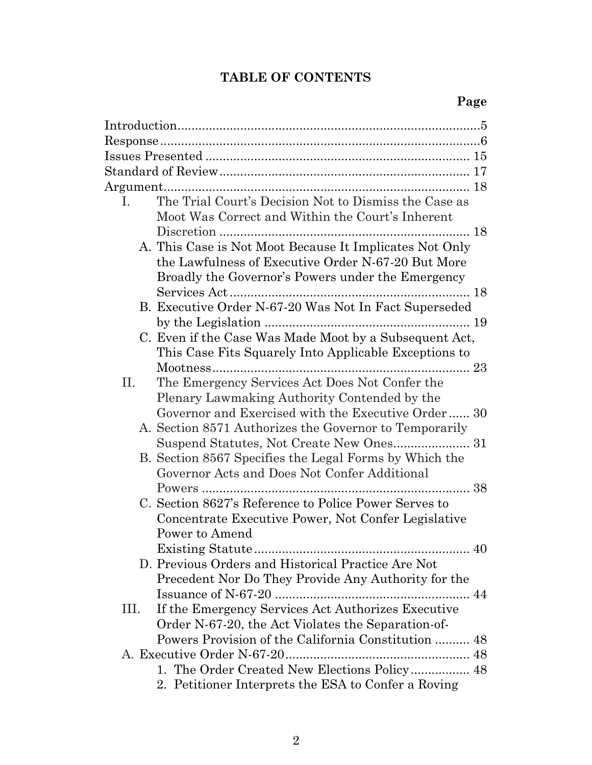# **TABLE OF CONTENTS**

| $\mathbf{I}$ . | The Trial Court's Decision Not to Dismiss the Case as<br>Moot Was Correct and Within the Court's Inherent |
|----------------|-----------------------------------------------------------------------------------------------------------|
|                |                                                                                                           |
|                | A. This Case is Not Moot Because It Implicates Not Only                                                   |
|                | the Lawfulness of Executive Order N-67-20 But More                                                        |
|                | Broadly the Governor's Powers under the Emergency                                                         |
|                |                                                                                                           |
|                | B. Executive Order N-67-20 Was Not In Fact Superseded                                                     |
|                |                                                                                                           |
|                | C. Even if the Case Was Made Moot by a Subsequent Act,                                                    |
|                | This Case Fits Squarely Into Applicable Exceptions to                                                     |
|                |                                                                                                           |
| II.            | The Emergency Services Act Does Not Confer the                                                            |
|                | Plenary Lawmaking Authority Contended by the                                                              |
|                | Governor and Exercised with the Executive Order 30                                                        |
|                | A. Section 8571 Authorizes the Governor to Temporarily                                                    |
|                |                                                                                                           |
|                | B. Section 8567 Specifies the Legal Forms by Which the                                                    |
|                | Governor Acts and Does Not Confer Additional                                                              |
|                |                                                                                                           |
|                | C. Section 8627's Reference to Police Power Serves to                                                     |
|                | Concentrate Executive Power, Not Confer Legislative                                                       |
|                | Power to Amend                                                                                            |
|                | <b>Existing Statute</b><br>40                                                                             |
|                | D. Previous Orders and Historical Practice Are Not                                                        |
|                | Precedent Nor Do They Provide Any Authority for the                                                       |
|                |                                                                                                           |
| III.           | If the Emergency Services Act Authorizes Executive                                                        |
|                | Order N-67-20, the Act Violates the Separation-of-                                                        |
|                | Powers Provision of the California Constitution  48                                                       |
|                |                                                                                                           |
|                | 1. The Order Created New Elections Policy 48                                                              |
|                | 2. Petitioner Interprets the ESA to Confer a Roving                                                       |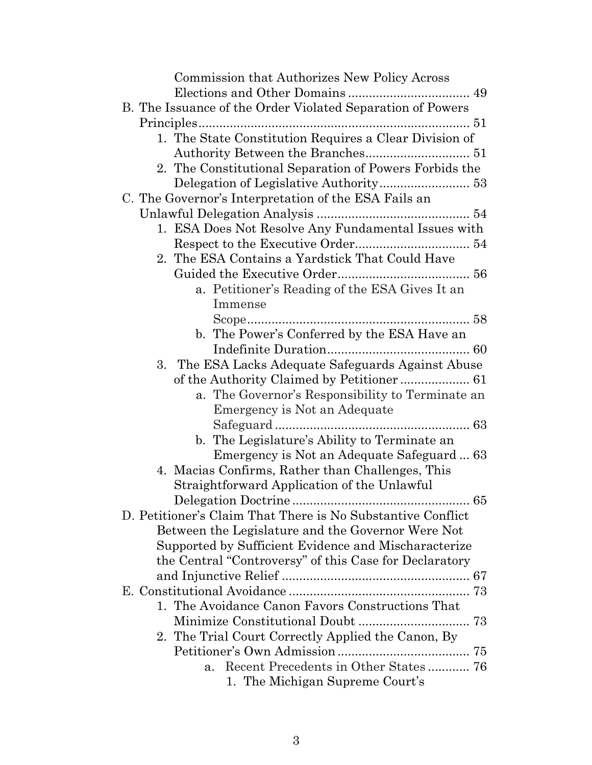| Commission that Authorizes New Policy Across                                               |
|--------------------------------------------------------------------------------------------|
|                                                                                            |
| B. The Issuance of the Order Violated Separation of Powers                                 |
|                                                                                            |
| 1. The State Constitution Requires a Clear Division of                                     |
|                                                                                            |
| 2. The Constitutional Separation of Powers Forbids the                                     |
|                                                                                            |
| C. The Governor's Interpretation of the ESA Fails an                                       |
|                                                                                            |
| 1. ESA Does Not Resolve Any Fundamental Issues with                                        |
|                                                                                            |
| 2. The ESA Contains a Yardstick That Could Have                                            |
|                                                                                            |
| a. Petitioner's Reading of the ESA Gives It an                                             |
| Immense                                                                                    |
|                                                                                            |
| b. The Power's Conferred by the ESA Have an                                                |
|                                                                                            |
| 3. The ESA Lacks Adequate Safeguards Against Abuse                                         |
|                                                                                            |
| a. The Governor's Responsibility to Terminate an                                           |
| Emergency is Not an Adequate                                                               |
|                                                                                            |
| b. The Legislature's Ability to Terminate an<br>Emergency is Not an Adequate Safeguard  63 |
| 4. Macias Confirms, Rather than Challenges, This                                           |
| Straightforward Application of the Unlawful                                                |
| 65                                                                                         |
| D. Petitioner's Claim That There is No Substantive Conflict                                |
| Between the Legislature and the Governor Were Not                                          |
| Supported by Sufficient Evidence and Mischaracterize                                       |
| the Central "Controversy" of this Case for Declaratory                                     |
|                                                                                            |
|                                                                                            |
| 1. The Avoidance Canon Favors Constructions That                                           |
|                                                                                            |
| 2. The Trial Court Correctly Applied the Canon, By                                         |
|                                                                                            |
| Recent Precedents in Other States  76<br>a.                                                |
| 1. The Michigan Supreme Court's                                                            |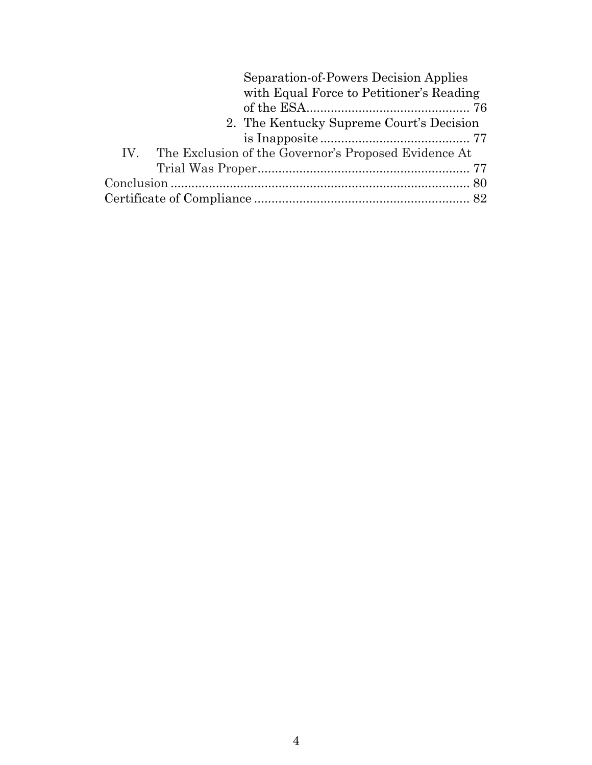| Separation-of-Powers Decision Applies                    |
|----------------------------------------------------------|
| with Equal Force to Petitioner's Reading                 |
|                                                          |
| 2. The Kentucky Supreme Court's Decision                 |
|                                                          |
| IV. The Exclusion of the Governor's Proposed Evidence At |
|                                                          |
|                                                          |
|                                                          |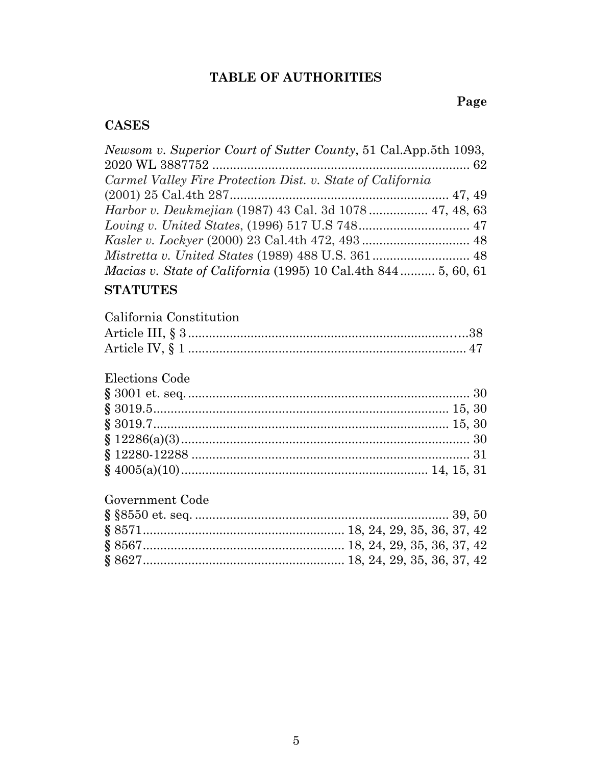# **TABLE OF AUTHORITIES**

# **Page**

# **CASES**

| Newsom v. Superior Court of Sutter County, 51 Cal. App. 5th 1093,    |  |
|----------------------------------------------------------------------|--|
|                                                                      |  |
| Carmel Valley Fire Protection Dist. v. State of California           |  |
|                                                                      |  |
| <i>Harbor v. Deukmejian</i> (1987) 43 Cal. 3d 1078 47, 48, 63        |  |
|                                                                      |  |
|                                                                      |  |
|                                                                      |  |
| <i>Macias v. State of California</i> (1995) 10 Cal.4th 844 5, 60, 61 |  |
| <b>CTATITURE</b>                                                     |  |

## **STATUTES**

| California Constitution |  |
|-------------------------|--|
|                         |  |
|                         |  |

# Elections Code

# Government Code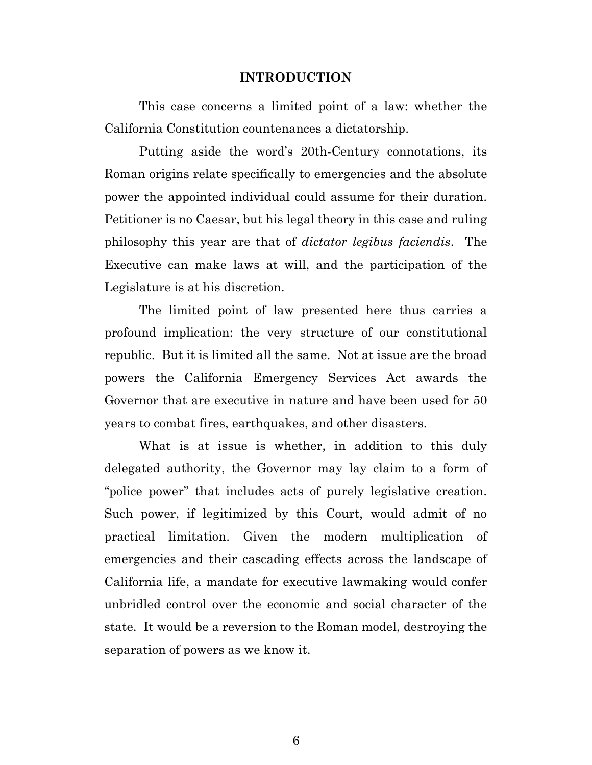#### **INTRODUCTION**

This case concerns a limited point of a law: whether the California Constitution countenances a dictatorship.

Putting aside the word's 20th-Century connotations, its Roman origins relate specifically to emergencies and the absolute power the appointed individual could assume for their duration. Petitioner is no Caesar, but his legal theory in this case and ruling philosophy this year are that of *dictator legibus faciendis*. The Executive can make laws at will, and the participation of the Legislature is at his discretion.

The limited point of law presented here thus carries a profound implication: the very structure of our constitutional republic. But it is limited all the same. Not at issue are the broad powers the California Emergency Services Act awards the Governor that are executive in nature and have been used for 50 years to combat fires, earthquakes, and other disasters.

What is at issue is whether, in addition to this duly delegated authority, the Governor may lay claim to a form of "police power" that includes acts of purely legislative creation. Such power, if legitimized by this Court, would admit of no practical limitation. Given the modern multiplication of emergencies and their cascading effects across the landscape of California life, a mandate for executive lawmaking would confer unbridled control over the economic and social character of the state. It would be a reversion to the Roman model, destroying the separation of powers as we know it.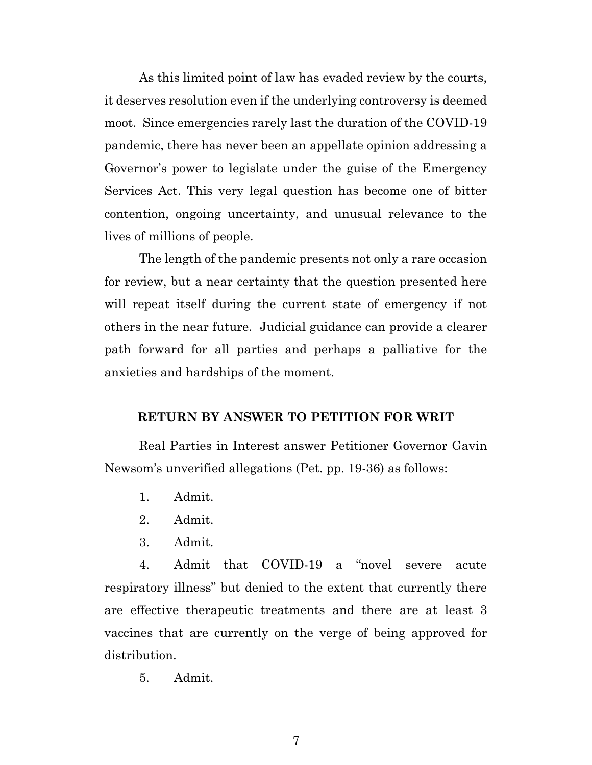As this limited point of law has evaded review by the courts, it deserves resolution even if the underlying controversy is deemed moot. Since emergencies rarely last the duration of the COVID-19 pandemic, there has never been an appellate opinion addressing a Governor's power to legislate under the guise of the Emergency Services Act. This very legal question has become one of bitter contention, ongoing uncertainty, and unusual relevance to the lives of millions of people.

The length of the pandemic presents not only a rare occasion for review, but a near certainty that the question presented here will repeat itself during the current state of emergency if not others in the near future. Judicial guidance can provide a clearer path forward for all parties and perhaps a palliative for the anxieties and hardships of the moment.

#### **RETURN BY ANSWER TO PETITION FOR WRIT**

Real Parties in Interest answer Petitioner Governor Gavin Newsom's unverified allegations (Pet. pp. 19-36) as follows:

- 1. Admit.
- 2. Admit.
- 3. Admit.

4. Admit that COVID-19 a "novel severe acute respiratory illness" but denied to the extent that currently there are effective therapeutic treatments and there are at least 3 vaccines that are currently on the verge of being approved for distribution.

5. Admit.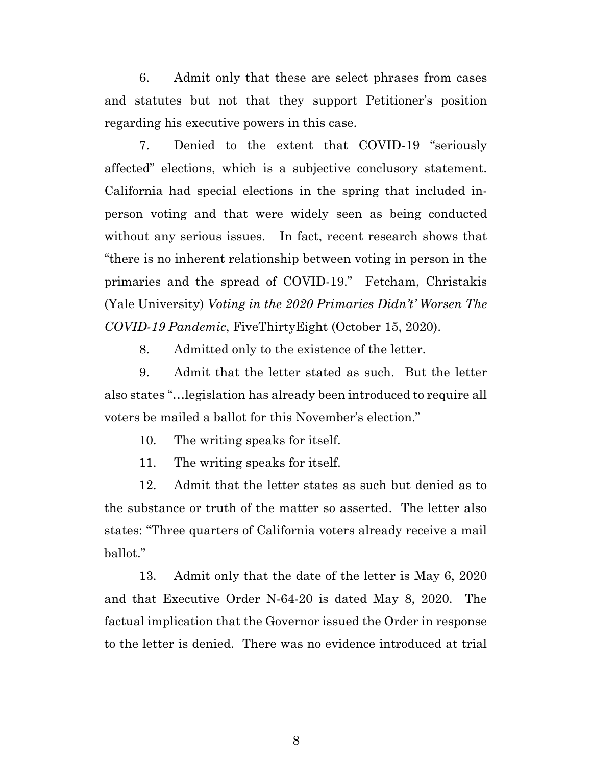6. Admit only that these are select phrases from cases and statutes but not that they support Petitioner's position regarding his executive powers in this case.

7. Denied to the extent that COVID-19 "seriously affected" elections, which is a subjective conclusory statement. California had special elections in the spring that included inperson voting and that were widely seen as being conducted without any serious issues. In fact, recent research shows that "there is no inherent relationship between voting in person in the primaries and the spread of COVID-19." Fetcham, Christakis (Yale University) *Voting in the 2020 Primaries Didn't' Worsen The COVID-19 Pandemic*, FiveThirtyEight (October 15, 2020).

8. Admitted only to the existence of the letter.

9. Admit that the letter stated as such. But the letter also states "…legislation has already been introduced to require all voters be mailed a ballot for this November's election."

10. The writing speaks for itself.

11. The writing speaks for itself.

12. Admit that the letter states as such but denied as to the substance or truth of the matter so asserted. The letter also states: "Three quarters of California voters already receive a mail ballot."

13. Admit only that the date of the letter is May 6, 2020 and that Executive Order N-64-20 is dated May 8, 2020. The factual implication that the Governor issued the Order in response to the letter is denied. There was no evidence introduced at trial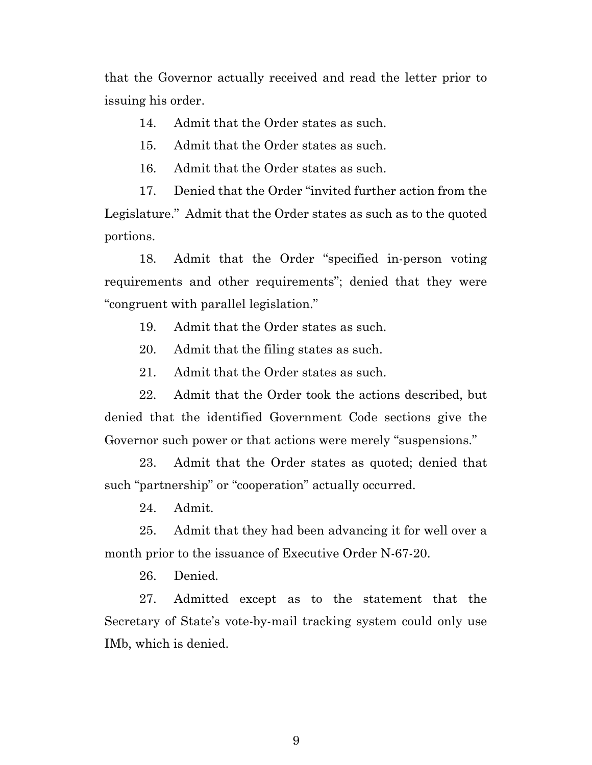that the Governor actually received and read the letter prior to issuing his order.

14. Admit that the Order states as such.

15. Admit that the Order states as such.

16. Admit that the Order states as such.

17. Denied that the Order "invited further action from the Legislature." Admit that the Order states as such as to the quoted portions.

18. Admit that the Order "specified in-person voting requirements and other requirements"; denied that they were "congruent with parallel legislation."

19. Admit that the Order states as such.

20. Admit that the filing states as such.

21. Admit that the Order states as such.

22. Admit that the Order took the actions described, but denied that the identified Government Code sections give the Governor such power or that actions were merely "suspensions."

23. Admit that the Order states as quoted; denied that such "partnership" or "cooperation" actually occurred.

24. Admit.

25. Admit that they had been advancing it for well over a month prior to the issuance of Executive Order N-67-20.

26. Denied.

27. Admitted except as to the statement that the Secretary of State's vote-by-mail tracking system could only use IMb, which is denied.

9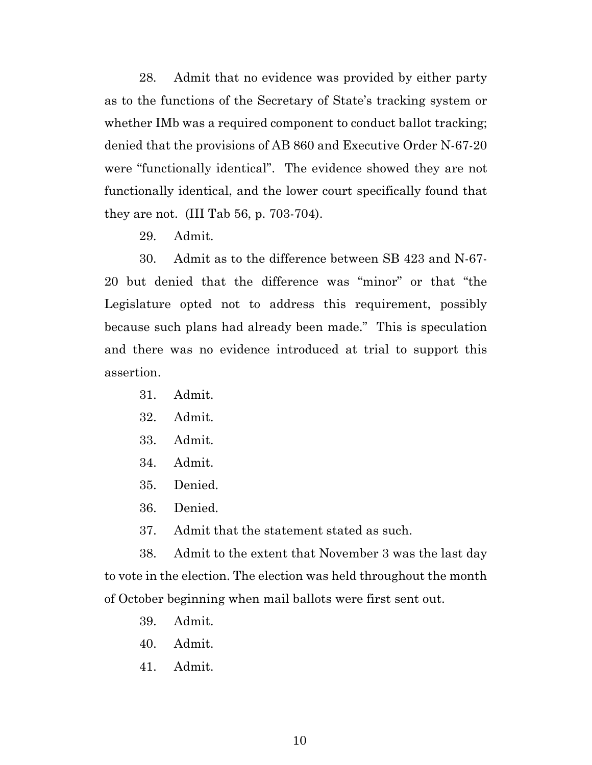28. Admit that no evidence was provided by either party as to the functions of the Secretary of State's tracking system or whether IMb was a required component to conduct ballot tracking; denied that the provisions of AB 860 and Executive Order N-67-20 were "functionally identical". The evidence showed they are not functionally identical, and the lower court specifically found that they are not. (III Tab 56, p. 703-704).

29. Admit.

30. Admit as to the difference between SB 423 and N-67- 20 but denied that the difference was "minor" or that "the Legislature opted not to address this requirement, possibly because such plans had already been made." This is speculation and there was no evidence introduced at trial to support this assertion.

- 31. Admit.
- 32. Admit.
- 33. Admit.
- 34. Admit.
- 35. Denied.
- 36. Denied.
- 37. Admit that the statement stated as such.

38. Admit to the extent that November 3 was the last day to vote in the election. The election was held throughout the month of October beginning when mail ballots were first sent out.

- 39. Admit.
- 40. Admit.
- 41. Admit.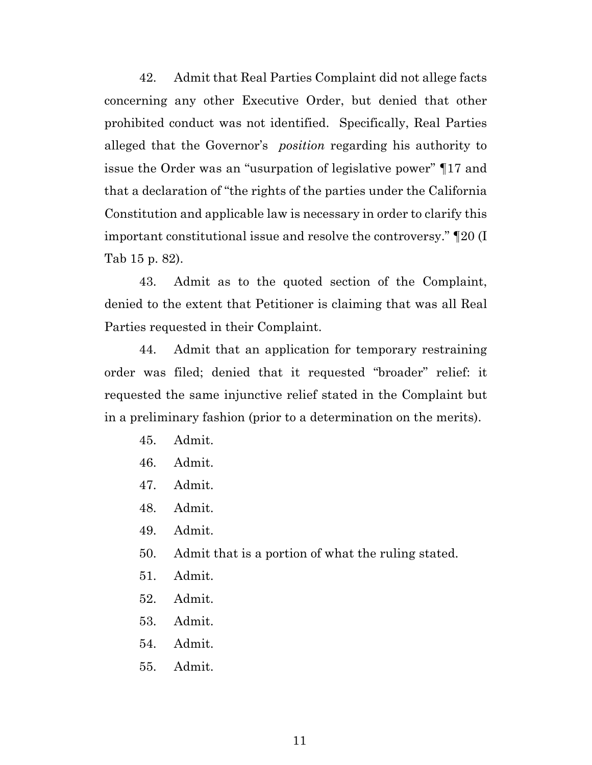42. Admit that Real Parties Complaint did not allege facts concerning any other Executive Order, but denied that other prohibited conduct was not identified. Specifically, Real Parties alleged that the Governor's *position* regarding his authority to issue the Order was an "usurpation of legislative power" ¶17 and that a declaration of "the rights of the parties under the California Constitution and applicable law is necessary in order to clarify this important constitutional issue and resolve the controversy." ¶20 (I Tab 15 p. 82).

43. Admit as to the quoted section of the Complaint, denied to the extent that Petitioner is claiming that was all Real Parties requested in their Complaint.

44. Admit that an application for temporary restraining order was filed; denied that it requested "broader" relief: it requested the same injunctive relief stated in the Complaint but in a preliminary fashion (prior to a determination on the merits).

- 45. Admit.
- 46. Admit.
- 47. Admit.
- 48. Admit.
- 49. Admit.
- 50. Admit that is a portion of what the ruling stated.
- 51. Admit.
- 52. Admit.
- 53. Admit.
- 54. Admit.
- 55. Admit.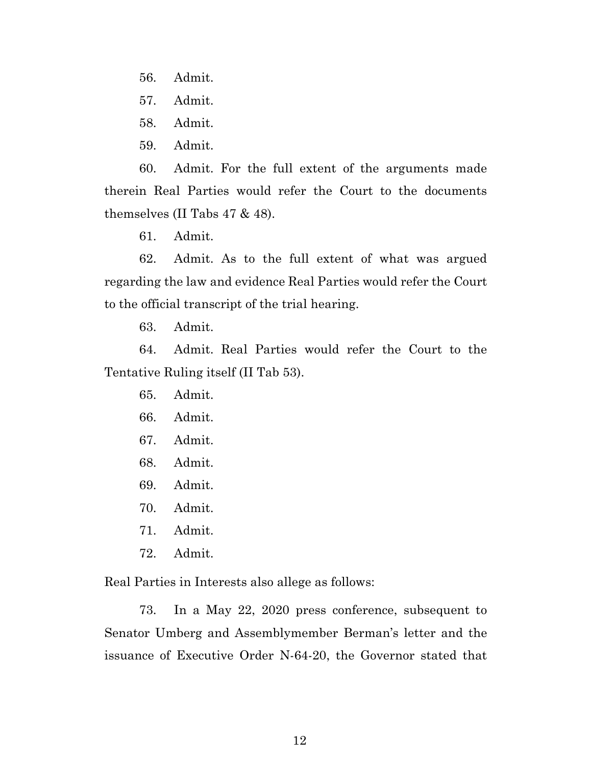- 56. Admit.
- 57. Admit.
- 58. Admit.
- 59. Admit.

60. Admit. For the full extent of the arguments made therein Real Parties would refer the Court to the documents themselves (II Tabs 47 & 48).

61. Admit.

62. Admit. As to the full extent of what was argued regarding the law and evidence Real Parties would refer the Court to the official transcript of the trial hearing.

63. Admit.

64. Admit. Real Parties would refer the Court to the Tentative Ruling itself (II Tab 53).

- 65. Admit.
- 66. Admit.
- 67. Admit.
- 68. Admit.
- 69. Admit.
- 70. Admit.
- 71. Admit.
- 72. Admit.

Real Parties in Interests also allege as follows:

73. In a May 22, 2020 press conference, subsequent to Senator Umberg and Assemblymember Berman's letter and the issuance of Executive Order N-64-20, the Governor stated that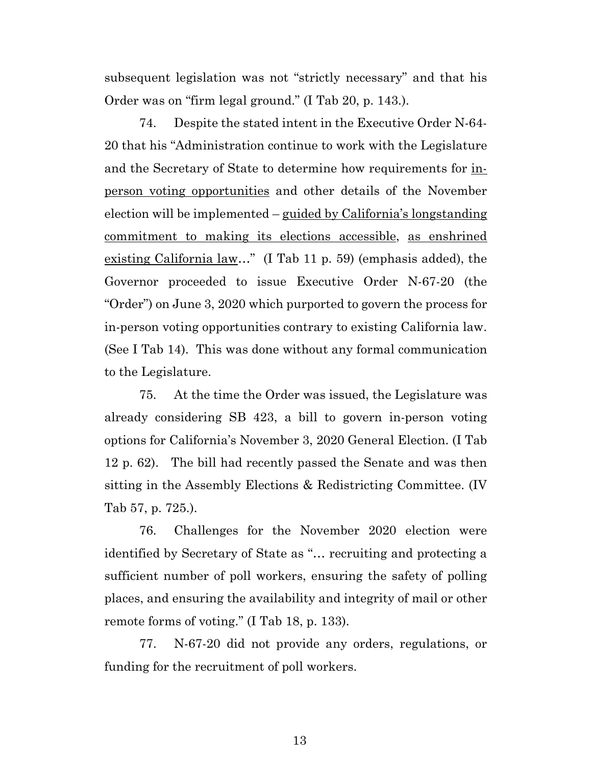subsequent legislation was not "strictly necessary" and that his Order was on "firm legal ground." (I Tab 20, p. 143.).

74. Despite the stated intent in the Executive Order N-64- 20 that his "Administration continue to work with the Legislature and the Secretary of State to determine how requirements for inperson voting opportunities and other details of the November election will be implemented – guided by California's longstanding commitment to making its elections accessible, as enshrined existing California law…" (I Tab 11 p. 59) (emphasis added), the Governor proceeded to issue Executive Order N-67-20 (the "Order") on June 3, 2020 which purported to govern the process for in-person voting opportunities contrary to existing California law. (See I Tab 14). This was done without any formal communication to the Legislature.

75. At the time the Order was issued, the Legislature was already considering SB 423, a bill to govern in-person voting options for California's November 3, 2020 General Election. (I Tab 12 p. 62). The bill had recently passed the Senate and was then sitting in the Assembly Elections & Redistricting Committee. (IV Tab 57, p. 725.).

76. Challenges for the November 2020 election were identified by Secretary of State as "… recruiting and protecting a sufficient number of poll workers, ensuring the safety of polling places, and ensuring the availability and integrity of mail or other remote forms of voting." (I Tab 18, p. 133).

77. N-67-20 did not provide any orders, regulations, or funding for the recruitment of poll workers.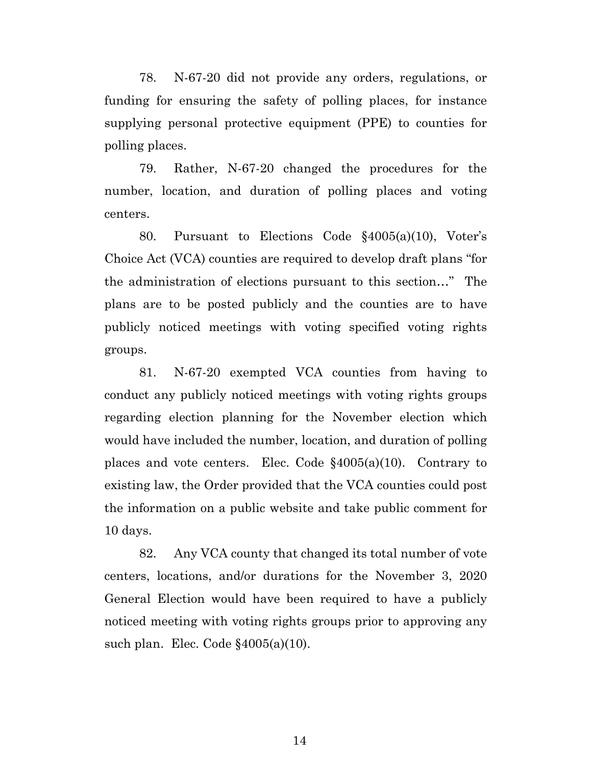78. N-67-20 did not provide any orders, regulations, or funding for ensuring the safety of polling places, for instance supplying personal protective equipment (PPE) to counties for polling places.

79. Rather, N-67-20 changed the procedures for the number, location, and duration of polling places and voting centers.

80. Pursuant to Elections Code §4005(a)(10), Voter's Choice Act (VCA) counties are required to develop draft plans "for the administration of elections pursuant to this section…" The plans are to be posted publicly and the counties are to have publicly noticed meetings with voting specified voting rights groups.

81. N-67-20 exempted VCA counties from having to conduct any publicly noticed meetings with voting rights groups regarding election planning for the November election which would have included the number, location, and duration of polling places and vote centers. Elec. Code §4005(a)(10). Contrary to existing law, the Order provided that the VCA counties could post the information on a public website and take public comment for 10 days.

82. Any VCA county that changed its total number of vote centers, locations, and/or durations for the November 3, 2020 General Election would have been required to have a publicly noticed meeting with voting rights groups prior to approving any such plan. Elec. Code  $§4005(a)(10)$ .

14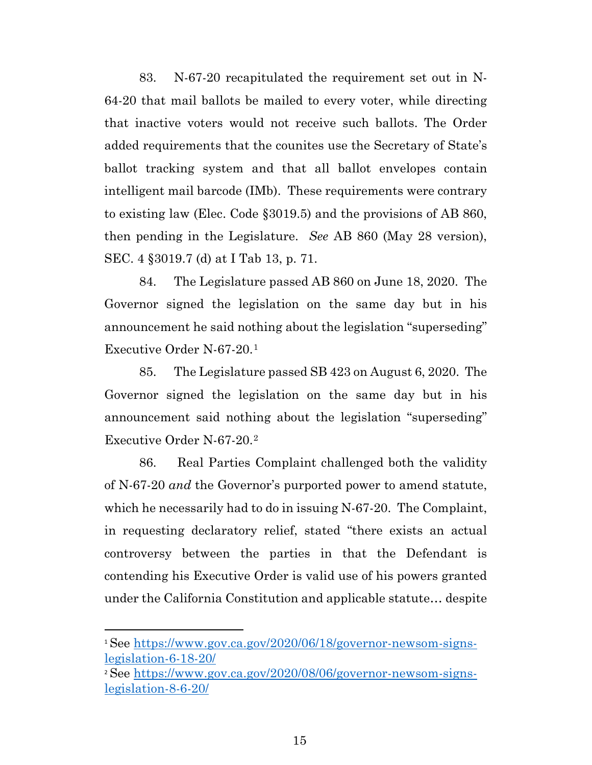83. N-67-20 recapitulated the requirement set out in N-64-20 that mail ballots be mailed to every voter, while directing that inactive voters would not receive such ballots. The Order added requirements that the counites use the Secretary of State's ballot tracking system and that all ballot envelopes contain intelligent mail barcode (IMb). These requirements were contrary to existing law (Elec. Code §3019.5) and the provisions of AB 860, then pending in the Legislature. *See* AB 860 (May 28 version), SEC. 4 §3019.7 (d) at I Tab 13, p. 71.

84. The Legislature passed AB 860 on June 18, 2020. The Governor signed the legislation on the same day but in his announcement he said nothing about the legislation "superseding" Executive Order N-67-20.[1](#page-14-0)

85. The Legislature passed SB 423 on August 6, 2020. The Governor signed the legislation on the same day but in his announcement said nothing about the legislation "superseding" Executive Order N-67-20.[2](#page-14-1)

86. Real Parties Complaint challenged both the validity of N-67-20 *and* the Governor's purported power to amend statute, which he necessarily had to do in issuing N-67-20. The Complaint, in requesting declaratory relief, stated "there exists an actual controversy between the parties in that the Defendant is contending his Executive Order is valid use of his powers granted under the California Constitution and applicable statute… despite

<span id="page-14-0"></span><sup>1</sup> See [https://www.gov.ca.gov/2020/06/18/governor-newsom-signs](https://www.gov.ca.gov/2020/06/18/governor-newsom-signs-legislation-6-18-20/)[legislation-6-18-20/](https://www.gov.ca.gov/2020/06/18/governor-newsom-signs-legislation-6-18-20/)

<span id="page-14-1"></span><sup>2</sup> See [https://www.gov.ca.gov/2020/08/06/governor-newsom-signs](https://www.gov.ca.gov/2020/08/06/governor-newsom-signs-legislation-8-6-20/)[legislation-8-6-20/](https://www.gov.ca.gov/2020/08/06/governor-newsom-signs-legislation-8-6-20/)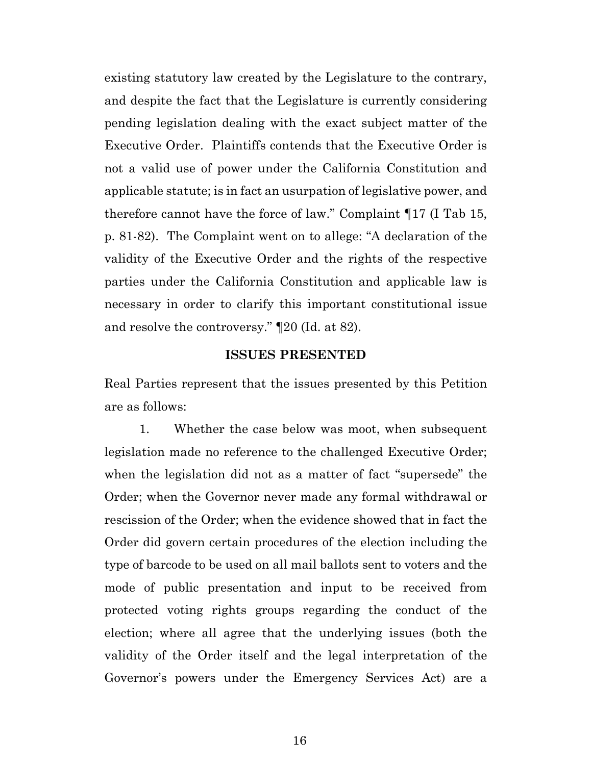existing statutory law created by the Legislature to the contrary, and despite the fact that the Legislature is currently considering pending legislation dealing with the exact subject matter of the Executive Order. Plaintiffs contends that the Executive Order is not a valid use of power under the California Constitution and applicable statute; is in fact an usurpation of legislative power, and therefore cannot have the force of law." Complaint ¶17 (I Tab 15, p. 81-82). The Complaint went on to allege: "A declaration of the validity of the Executive Order and the rights of the respective parties under the California Constitution and applicable law is necessary in order to clarify this important constitutional issue and resolve the controversy." ¶20 (Id. at 82).

#### **ISSUES PRESENTED**

Real Parties represent that the issues presented by this Petition are as follows:

1. Whether the case below was moot, when subsequent legislation made no reference to the challenged Executive Order; when the legislation did not as a matter of fact "supersede" the Order; when the Governor never made any formal withdrawal or rescission of the Order; when the evidence showed that in fact the Order did govern certain procedures of the election including the type of barcode to be used on all mail ballots sent to voters and the mode of public presentation and input to be received from protected voting rights groups regarding the conduct of the election; where all agree that the underlying issues (both the validity of the Order itself and the legal interpretation of the Governor's powers under the Emergency Services Act) are a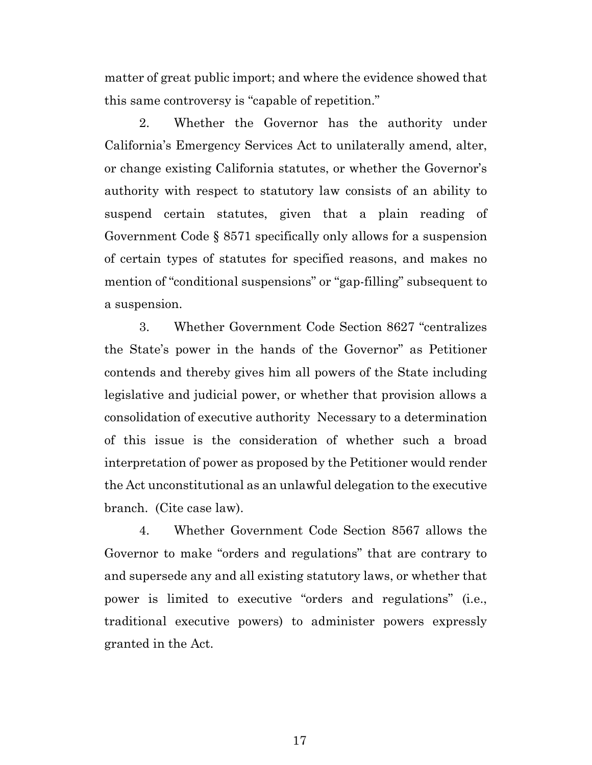matter of great public import; and where the evidence showed that this same controversy is "capable of repetition."

2. Whether the Governor has the authority under California's Emergency Services Act to unilaterally amend, alter, or change existing California statutes, or whether the Governor's authority with respect to statutory law consists of an ability to suspend certain statutes, given that a plain reading of Government Code § 8571 specifically only allows for a suspension of certain types of statutes for specified reasons, and makes no mention of "conditional suspensions" or "gap-filling" subsequent to a suspension.

3. Whether Government Code Section 8627 "centralizes the State's power in the hands of the Governor" as Petitioner contends and thereby gives him all powers of the State including legislative and judicial power, or whether that provision allows a consolidation of executive authority Necessary to a determination of this issue is the consideration of whether such a broad interpretation of power as proposed by the Petitioner would render the Act unconstitutional as an unlawful delegation to the executive branch. (Cite case law).

4. Whether Government Code Section 8567 allows the Governor to make "orders and regulations" that are contrary to and supersede any and all existing statutory laws, or whether that power is limited to executive "orders and regulations" (i.e., traditional executive powers) to administer powers expressly granted in the Act.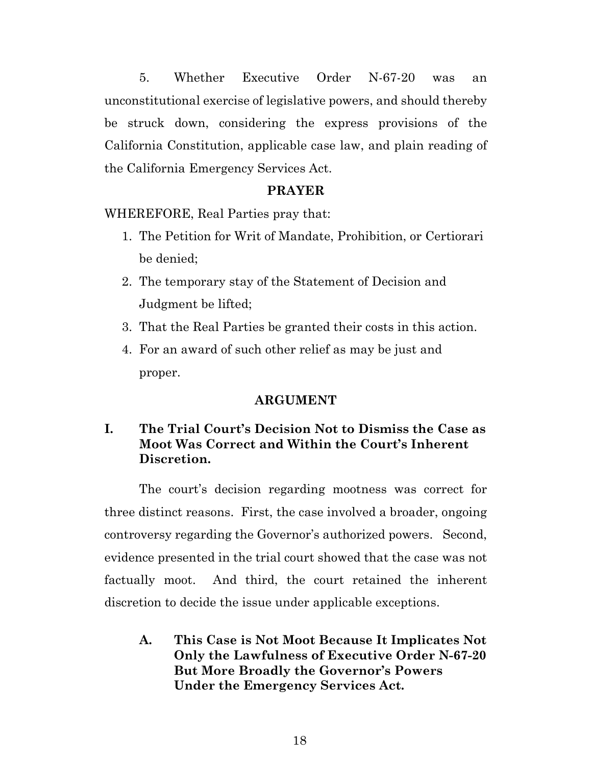5. Whether Executive Order N-67-20 was an unconstitutional exercise of legislative powers, and should thereby be struck down, considering the express provisions of the California Constitution, applicable case law, and plain reading of the California Emergency Services Act.

### **PRAYER**

WHEREFORE, Real Parties pray that:

- 1. The Petition for Writ of Mandate, Prohibition, or Certiorari be denied;
- 2. The temporary stay of the Statement of Decision and Judgment be lifted;
- 3. That the Real Parties be granted their costs in this action.
- 4. For an award of such other relief as may be just and proper.

#### **ARGUMENT**

# **I. The Trial Court's Decision Not to Dismiss the Case as Moot Was Correct and Within the Court's Inherent Discretion.**

The court's decision regarding mootness was correct for three distinct reasons. First, the case involved a broader, ongoing controversy regarding the Governor's authorized powers. Second, evidence presented in the trial court showed that the case was not factually moot. And third, the court retained the inherent discretion to decide the issue under applicable exceptions.

**A. This Case is Not Moot Because It Implicates Not Only the Lawfulness of Executive Order N-67-20 But More Broadly the Governor's Powers Under the Emergency Services Act.**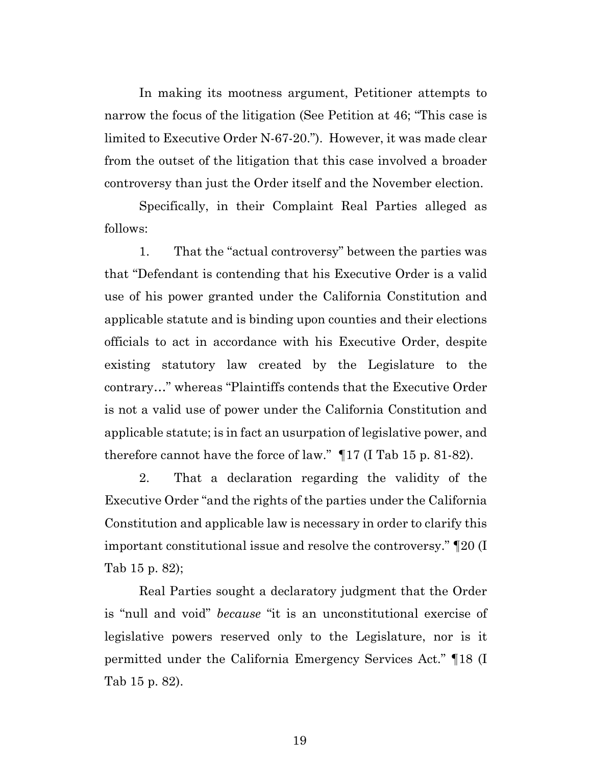In making its mootness argument, Petitioner attempts to narrow the focus of the litigation (See Petition at 46; "This case is limited to Executive Order N-67-20."). However, it was made clear from the outset of the litigation that this case involved a broader controversy than just the Order itself and the November election.

Specifically, in their Complaint Real Parties alleged as follows:

1. That the "actual controversy" between the parties was that "Defendant is contending that his Executive Order is a valid use of his power granted under the California Constitution and applicable statute and is binding upon counties and their elections officials to act in accordance with his Executive Order, despite existing statutory law created by the Legislature to the contrary…" whereas "Plaintiffs contends that the Executive Order is not a valid use of power under the California Constitution and applicable statute; is in fact an usurpation of legislative power, and therefore cannot have the force of law." ¶17 (I Tab 15 p. 81-82).

2. That a declaration regarding the validity of the Executive Order "and the rights of the parties under the California Constitution and applicable law is necessary in order to clarify this important constitutional issue and resolve the controversy." ¶20 (I Tab 15 p. 82);

Real Parties sought a declaratory judgment that the Order is "null and void" *because* "it is an unconstitutional exercise of legislative powers reserved only to the Legislature, nor is it permitted under the California Emergency Services Act." ¶18 (I Tab 15 p. 82).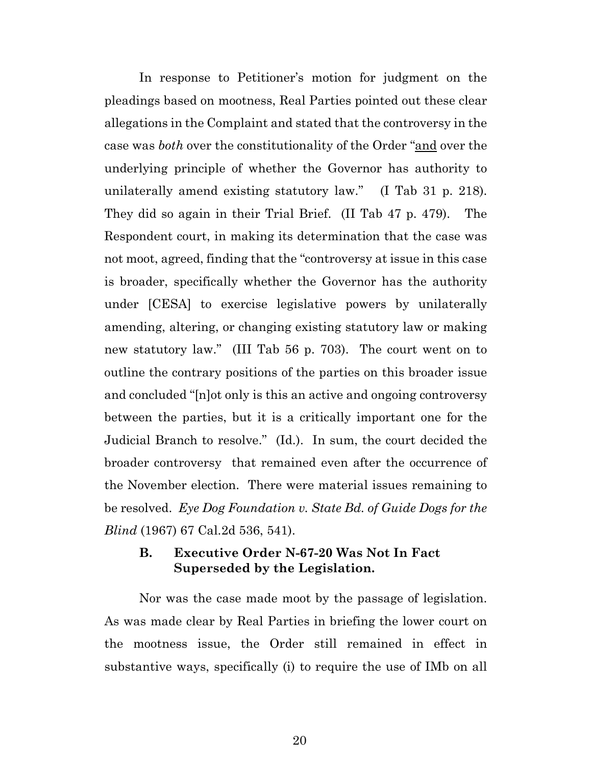In response to Petitioner's motion for judgment on the pleadings based on mootness, Real Parties pointed out these clear allegations in the Complaint and stated that the controversy in the case was *both* over the constitutionality of the Order "and over the underlying principle of whether the Governor has authority to unilaterally amend existing statutory law." (I Tab 31 p. 218). They did so again in their Trial Brief. (II Tab 47 p. 479). The Respondent court, in making its determination that the case was not moot, agreed, finding that the "controversy at issue in this case is broader, specifically whether the Governor has the authority under [CESA] to exercise legislative powers by unilaterally amending, altering, or changing existing statutory law or making new statutory law." (III Tab 56 p. 703). The court went on to outline the contrary positions of the parties on this broader issue and concluded "[n]ot only is this an active and ongoing controversy between the parties, but it is a critically important one for the Judicial Branch to resolve." (Id.). In sum, the court decided the broader controversy that remained even after the occurrence of the November election. There were material issues remaining to be resolved. *Eye Dog Foundation v. State Bd. of Guide Dogs for the Blind* (1967) 67 Cal.2d 536, 541).

## **B. Executive Order N-67-20 Was Not In Fact Superseded by the Legislation.**

Nor was the case made moot by the passage of legislation. As was made clear by Real Parties in briefing the lower court on the mootness issue, the Order still remained in effect in substantive ways, specifically (i) to require the use of IMb on all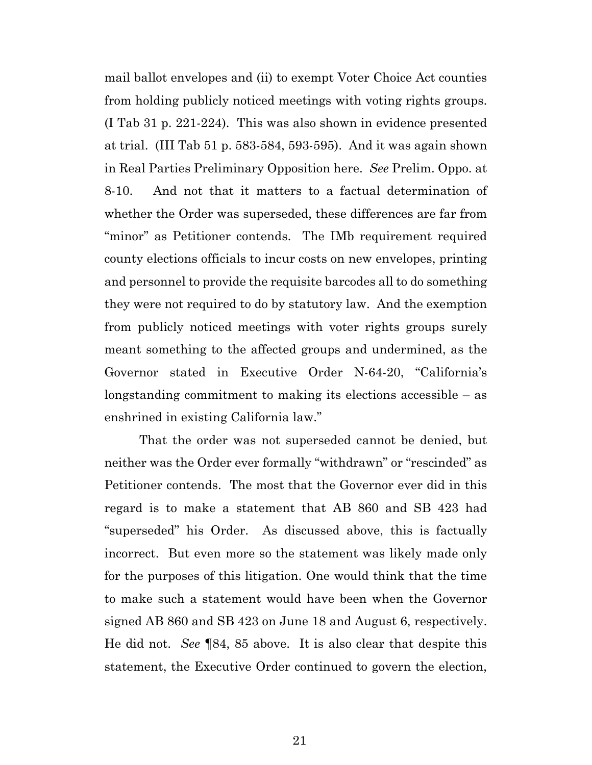mail ballot envelopes and (ii) to exempt Voter Choice Act counties from holding publicly noticed meetings with voting rights groups. (I Tab 31 p. 221-224). This was also shown in evidence presented at trial. (III Tab 51 p. 583-584, 593-595). And it was again shown in Real Parties Preliminary Opposition here. *See* Prelim. Oppo. at 8-10. And not that it matters to a factual determination of whether the Order was superseded, these differences are far from "minor" as Petitioner contends. The IMb requirement required county elections officials to incur costs on new envelopes, printing and personnel to provide the requisite barcodes all to do something they were not required to do by statutory law. And the exemption from publicly noticed meetings with voter rights groups surely meant something to the affected groups and undermined, as the Governor stated in Executive Order N-64-20, "California's longstanding commitment to making its elections accessible – as enshrined in existing California law."

That the order was not superseded cannot be denied, but neither was the Order ever formally "withdrawn" or "rescinded" as Petitioner contends. The most that the Governor ever did in this regard is to make a statement that AB 860 and SB 423 had "superseded" his Order. As discussed above, this is factually incorrect. But even more so the statement was likely made only for the purposes of this litigation. One would think that the time to make such a statement would have been when the Governor signed AB 860 and SB 423 on June 18 and August 6, respectively. He did not. *See* ¶84, 85 above. It is also clear that despite this statement, the Executive Order continued to govern the election,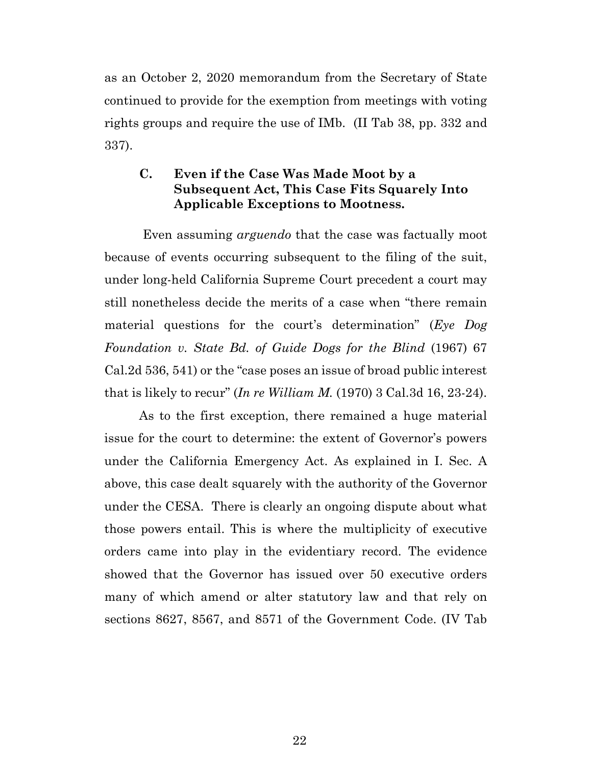as an October 2, 2020 memorandum from the Secretary of State continued to provide for the exemption from meetings with voting rights groups and require the use of IMb. (II Tab 38, pp. 332 and 337).

## **C. Even if the Case Was Made Moot by a Subsequent Act, This Case Fits Squarely Into Applicable Exceptions to Mootness.**

Even assuming *arguendo* that the case was factually moot because of events occurring subsequent to the filing of the suit, under long-held California Supreme Court precedent a court may still nonetheless decide the merits of a case when "there remain material questions for the court's determination" (*Eye Dog Foundation v. State Bd. of Guide Dogs for the Blind* (1967) 67 Cal.2d 536, 541) or the "case poses an issue of broad public interest that is likely to recur" (*In re William M.* (1970) 3 Cal.3d 16, 23-24).

As to the first exception, there remained a huge material issue for the court to determine: the extent of Governor's powers under the California Emergency Act. As explained in I. Sec. A above, this case dealt squarely with the authority of the Governor under the CESA. There is clearly an ongoing dispute about what those powers entail. This is where the multiplicity of executive orders came into play in the evidentiary record. The evidence showed that the Governor has issued over 50 executive orders many of which amend or alter statutory law and that rely on sections 8627, 8567, and 8571 of the Government Code. (IV Tab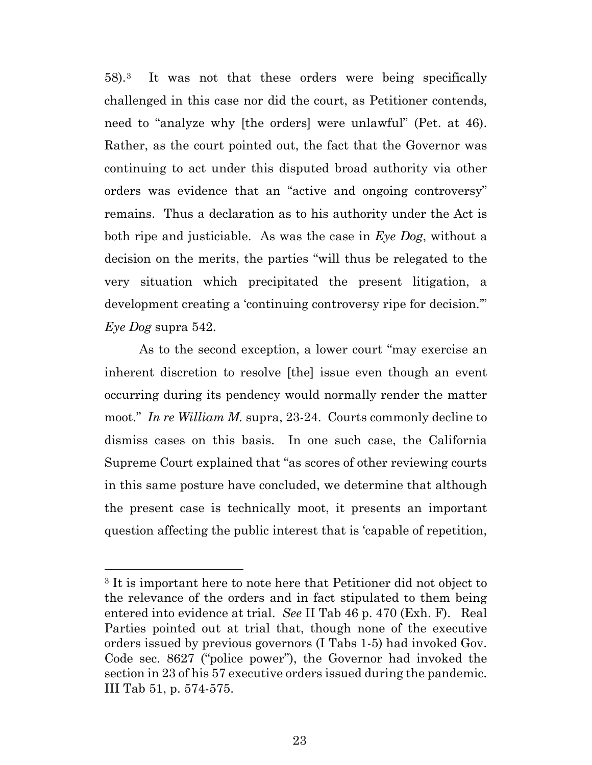58).[3](#page-22-0) It was not that these orders were being specifically challenged in this case nor did the court, as Petitioner contends, need to "analyze why [the orders] were unlawful" (Pet. at 46). Rather, as the court pointed out, the fact that the Governor was continuing to act under this disputed broad authority via other orders was evidence that an "active and ongoing controversy" remains. Thus a declaration as to his authority under the Act is both ripe and justiciable. As was the case in *Eye Dog*, without a decision on the merits, the parties "will thus be relegated to the very situation which precipitated the present litigation, a development creating a 'continuing controversy ripe for decision.'" *Eye Dog* supra 542.

As to the second exception, a lower court "may exercise an inherent discretion to resolve [the] issue even though an event occurring during its pendency would normally render the matter moot." *In re William M.* supra, 23-24. Courts commonly decline to dismiss cases on this basis. In one such case, the California Supreme Court explained that "as scores of other reviewing courts in this same posture have concluded, we determine that although the present case is technically moot, it presents an important question affecting the public interest that is 'capable of repetition,

<span id="page-22-0"></span><sup>3</sup> It is important here to note here that Petitioner did not object to the relevance of the orders and in fact stipulated to them being entered into evidence at trial. *See* II Tab 46 p. 470 (Exh. F). Real Parties pointed out at trial that, though none of the executive orders issued by previous governors (I Tabs 1-5) had invoked Gov. Code sec. 8627 ("police power"), the Governor had invoked the section in 23 of his 57 executive orders issued during the pandemic. III Tab 51, p. 574-575.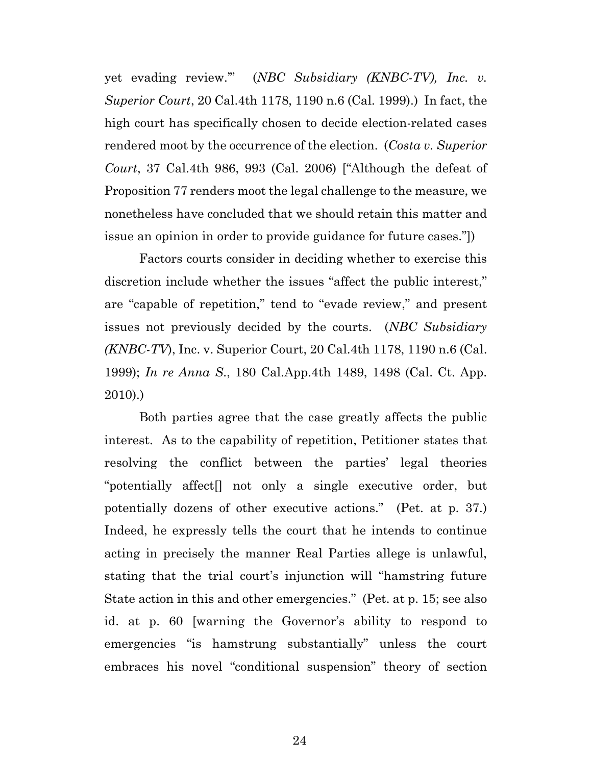yet evading review.'" (*NBC Subsidiary (KNBC-TV), Inc. v. Superior Court*, 20 Cal.4th 1178, 1190 n.6 (Cal. 1999).) In fact, the high court has specifically chosen to decide election-related cases rendered moot by the occurrence of the election. (*Costa v. Superior Court*, 37 Cal.4th 986, 993 (Cal. 2006) ["Although the defeat of Proposition 77 renders moot the legal challenge to the measure, we nonetheless have concluded that we should retain this matter and issue an opinion in order to provide guidance for future cases."])

Factors courts consider in deciding whether to exercise this discretion include whether the issues "affect the public interest," are "capable of repetition," tend to "evade review," and present issues not previously decided by the courts. (*NBC Subsidiary (KNBC-TV*), Inc. v. Superior Court, 20 Cal.4th 1178, 1190 n.6 (Cal. 1999); *In re Anna S*., 180 Cal.App.4th 1489, 1498 (Cal. Ct. App. 2010).)

Both parties agree that the case greatly affects the public interest. As to the capability of repetition, Petitioner states that resolving the conflict between the parties' legal theories "potentially affect[] not only a single executive order, but potentially dozens of other executive actions." (Pet. at p. 37.) Indeed, he expressly tells the court that he intends to continue acting in precisely the manner Real Parties allege is unlawful, stating that the trial court's injunction will "hamstring future State action in this and other emergencies." (Pet. at p. 15; see also id. at p. 60 [warning the Governor's ability to respond to emergencies "is hamstrung substantially" unless the court embraces his novel "conditional suspension" theory of section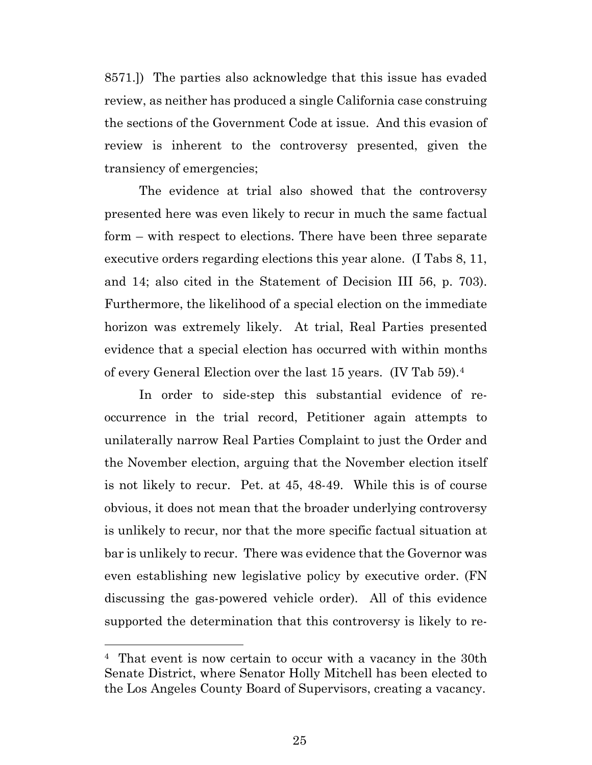8571.]) The parties also acknowledge that this issue has evaded review, as neither has produced a single California case construing the sections of the Government Code at issue. And this evasion of review is inherent to the controversy presented, given the transiency of emergencies;

The evidence at trial also showed that the controversy presented here was even likely to recur in much the same factual form – with respect to elections. There have been three separate executive orders regarding elections this year alone. (I Tabs 8, 11, and 14; also cited in the Statement of Decision III 56, p. 703). Furthermore, the likelihood of a special election on the immediate horizon was extremely likely. At trial, Real Parties presented evidence that a special election has occurred with within months of every General Election over the last 15 years. (IV Tab 59).[4](#page-24-0)

In order to side-step this substantial evidence of reoccurrence in the trial record, Petitioner again attempts to unilaterally narrow Real Parties Complaint to just the Order and the November election, arguing that the November election itself is not likely to recur. Pet. at 45, 48-49. While this is of course obvious, it does not mean that the broader underlying controversy is unlikely to recur, nor that the more specific factual situation at bar is unlikely to recur. There was evidence that the Governor was even establishing new legislative policy by executive order. (FN discussing the gas-powered vehicle order). All of this evidence supported the determination that this controversy is likely to re-

<span id="page-24-0"></span><sup>4</sup> That event is now certain to occur with a vacancy in the 30th Senate District, where Senator Holly Mitchell has been elected to the Los Angeles County Board of Supervisors, creating a vacancy.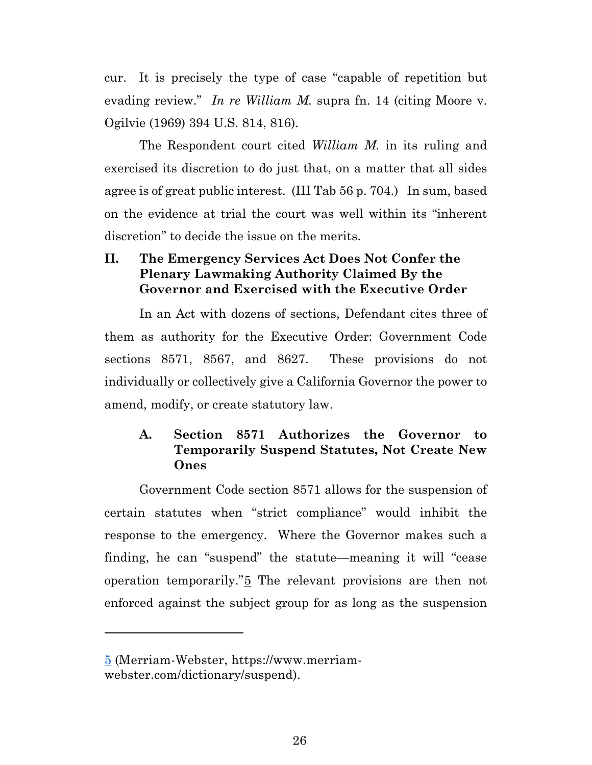cur. It is precisely the type of case "capable of repetition but evading review." *In re William M.* supra fn. 14 (citing Moore v. Ogilvie (1969) 394 U.S. 814, 816).

The Respondent court cited *William M.* in its ruling and exercised its discretion to do just that, on a matter that all sides agree is of great public interest. (III Tab 56 p. 704.) In sum, based on the evidence at trial the court was well within its "inherent discretion" to decide the issue on the merits.

# **II. The Emergency Services Act Does Not Confer the Plenary Lawmaking Authority Claimed By the Governor and Exercised with the Executive Order**

In an Act with dozens of sections, Defendant cites three of them as authority for the Executive Order: Government Code sections 8571, 8567, and 8627. These provisions do not individually or collectively give a California Governor the power to amend, modify, or create statutory law.

## **A. Section 8571 Authorizes the Governor to Temporarily Suspend Statutes, Not Create New Ones**

Government Code section 8571 allows for the suspension of certain statutes when "strict compliance" would inhibit the response to the emergency. Where the Governor makes such a finding, he can "suspend" the statute—meaning it will "cease operation temporarily."[5](#page-25-0) The relevant provisions are then not enforced against the subject group for as long as the suspension

<span id="page-25-0"></span><sup>5</sup> (Merriam-Webster, https://www.merriamwebster.com/dictionary/suspend).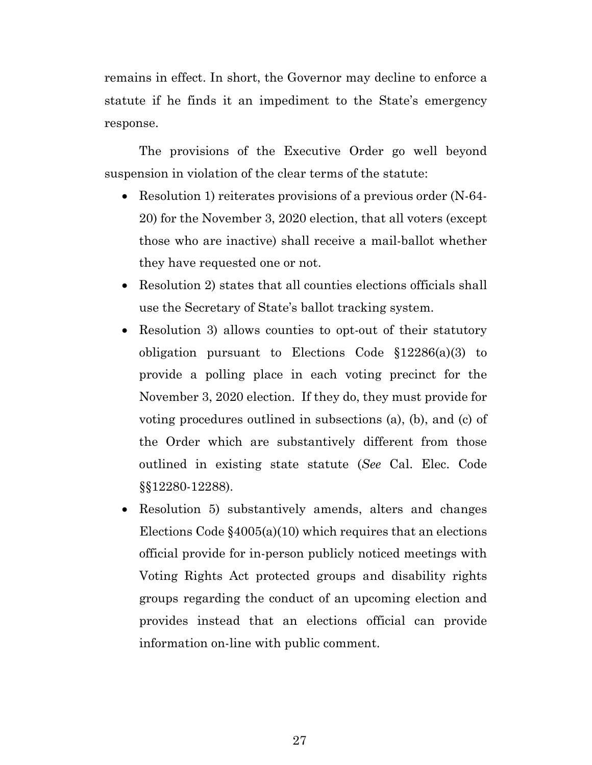remains in effect. In short, the Governor may decline to enforce a statute if he finds it an impediment to the State's emergency response.

The provisions of the Executive Order go well beyond suspension in violation of the clear terms of the statute:

- Resolution 1) reiterates provisions of a previous order (N-64-20) for the November 3, 2020 election, that all voters (except those who are inactive) shall receive a mail-ballot whether they have requested one or not.
- Resolution 2) states that all counties elections officials shall use the Secretary of State's ballot tracking system.
- Resolution 3) allows counties to opt-out of their statutory obligation pursuant to Elections Code §12286(a)(3) to provide a polling place in each voting precinct for the November 3, 2020 election. If they do, they must provide for voting procedures outlined in subsections (a), (b), and (c) of the Order which are substantively different from those outlined in existing state statute (*See* Cal. Elec. Code §§12280-12288).
- Resolution 5) substantively amends, alters and changes Elections Code §4005(a)(10) which requires that an elections official provide for in-person publicly noticed meetings with Voting Rights Act protected groups and disability rights groups regarding the conduct of an upcoming election and provides instead that an elections official can provide information on-line with public comment.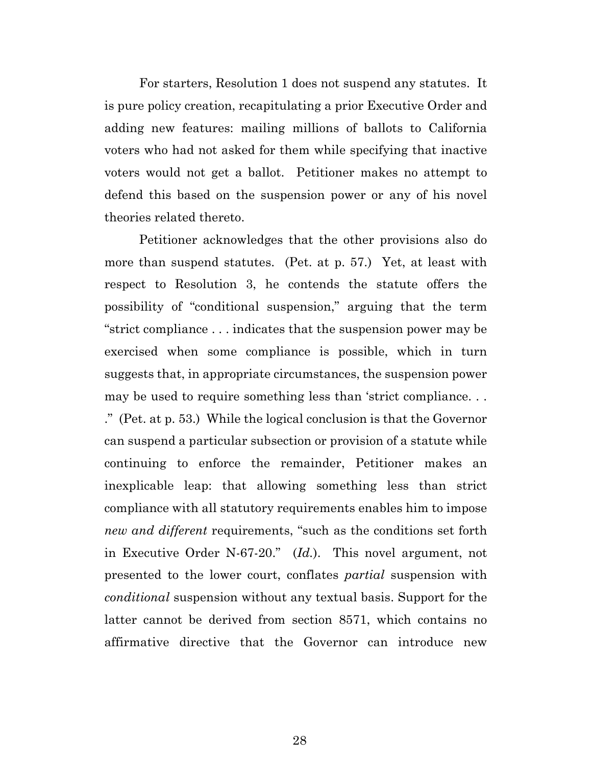For starters, Resolution 1 does not suspend any statutes. It is pure policy creation, recapitulating a prior Executive Order and adding new features: mailing millions of ballots to California voters who had not asked for them while specifying that inactive voters would not get a ballot. Petitioner makes no attempt to defend this based on the suspension power or any of his novel theories related thereto.

Petitioner acknowledges that the other provisions also do more than suspend statutes. (Pet. at p. 57.) Yet, at least with respect to Resolution 3, he contends the statute offers the possibility of "conditional suspension," arguing that the term "strict compliance . . . indicates that the suspension power may be exercised when some compliance is possible, which in turn suggests that, in appropriate circumstances, the suspension power may be used to require something less than 'strict compliance. . . ." (Pet. at p. 53.) While the logical conclusion is that the Governor can suspend a particular subsection or provision of a statute while continuing to enforce the remainder, Petitioner makes an inexplicable leap: that allowing something less than strict compliance with all statutory requirements enables him to impose *new and different* requirements, "such as the conditions set forth in Executive Order N-67-20." (*Id.*). This novel argument, not presented to the lower court, conflates *partial* suspension with *conditional* suspension without any textual basis. Support for the latter cannot be derived from section 8571, which contains no affirmative directive that the Governor can introduce new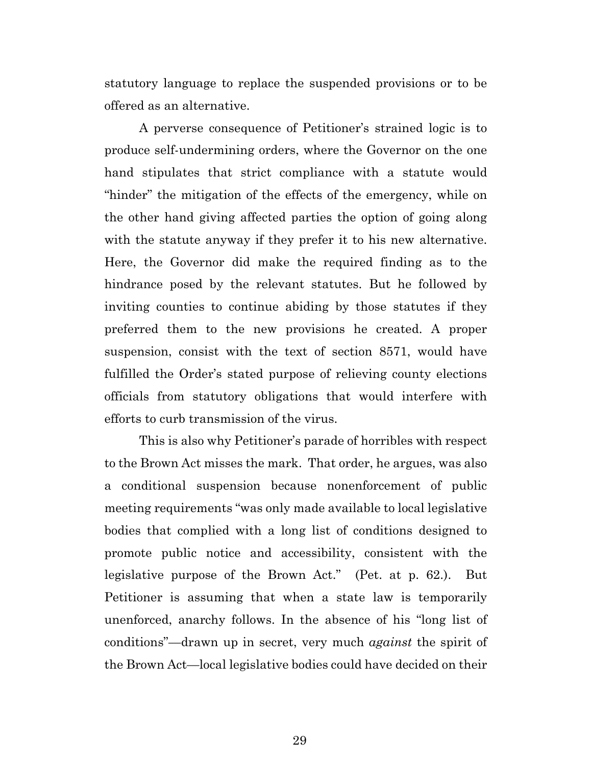statutory language to replace the suspended provisions or to be offered as an alternative.

A perverse consequence of Petitioner's strained logic is to produce self-undermining orders, where the Governor on the one hand stipulates that strict compliance with a statute would "hinder" the mitigation of the effects of the emergency, while on the other hand giving affected parties the option of going along with the statute anyway if they prefer it to his new alternative. Here, the Governor did make the required finding as to the hindrance posed by the relevant statutes. But he followed by inviting counties to continue abiding by those statutes if they preferred them to the new provisions he created. A proper suspension, consist with the text of section 8571, would have fulfilled the Order's stated purpose of relieving county elections officials from statutory obligations that would interfere with efforts to curb transmission of the virus.

This is also why Petitioner's parade of horribles with respect to the Brown Act misses the mark. That order, he argues, was also a conditional suspension because nonenforcement of public meeting requirements "was only made available to local legislative bodies that complied with a long list of conditions designed to promote public notice and accessibility, consistent with the legislative purpose of the Brown Act." (Pet. at p. 62.). But Petitioner is assuming that when a state law is temporarily unenforced, anarchy follows. In the absence of his "long list of conditions"—drawn up in secret, very much *against* the spirit of the Brown Act—local legislative bodies could have decided on their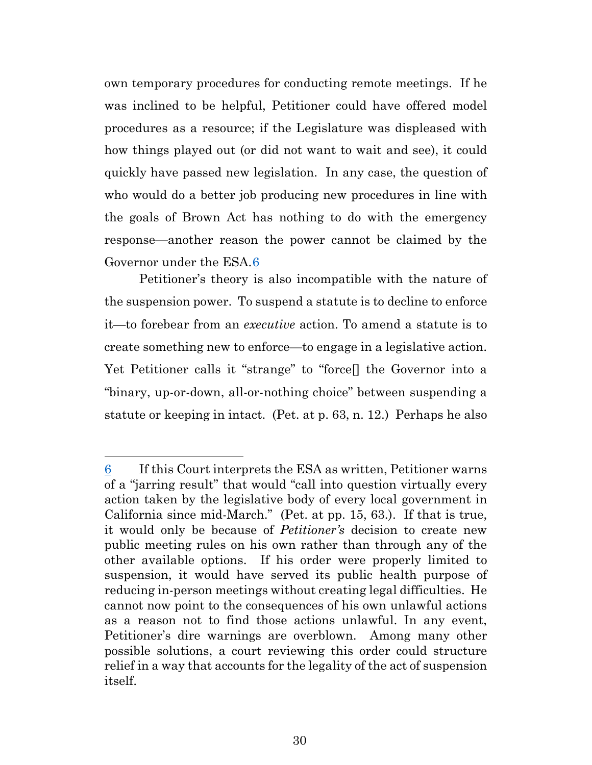own temporary procedures for conducting remote meetings. If he was inclined to be helpful, Petitioner could have offered model procedures as a resource; if the Legislature was displeased with how things played out (or did not want to wait and see), it could quickly have passed new legislation. In any case, the question of who would do a better job producing new procedures in line with the goals of Brown Act has nothing to do with the emergency response—another reason the power cannot be claimed by the Governor under the ESA.[6](#page-29-0)

Petitioner's theory is also incompatible with the nature of the suspension power. To suspend a statute is to decline to enforce it—to forebear from an *executive* action. To amend a statute is to create something new to enforce—to engage in a legislative action. Yet Petitioner calls it "strange" to "force[] the Governor into a "binary, up-or-down, all-or-nothing choice" between suspending a statute or keeping in intact. (Pet. at p. 63, n. 12.) Perhaps he also

<span id="page-29-0"></span><sup>6</sup> If this Court interprets the ESA as written, Petitioner warns of a "jarring result" that would "call into question virtually every action taken by the legislative body of every local government in California since mid-March." (Pet. at pp. 15, 63.). If that is true, it would only be because of *Petitioner's* decision to create new public meeting rules on his own rather than through any of the other available options. If his order were properly limited to suspension, it would have served its public health purpose of reducing in-person meetings without creating legal difficulties. He cannot now point to the consequences of his own unlawful actions as a reason not to find those actions unlawful. In any event, Petitioner's dire warnings are overblown. Among many other possible solutions, a court reviewing this order could structure relief in a way that accounts for the legality of the act of suspension itself.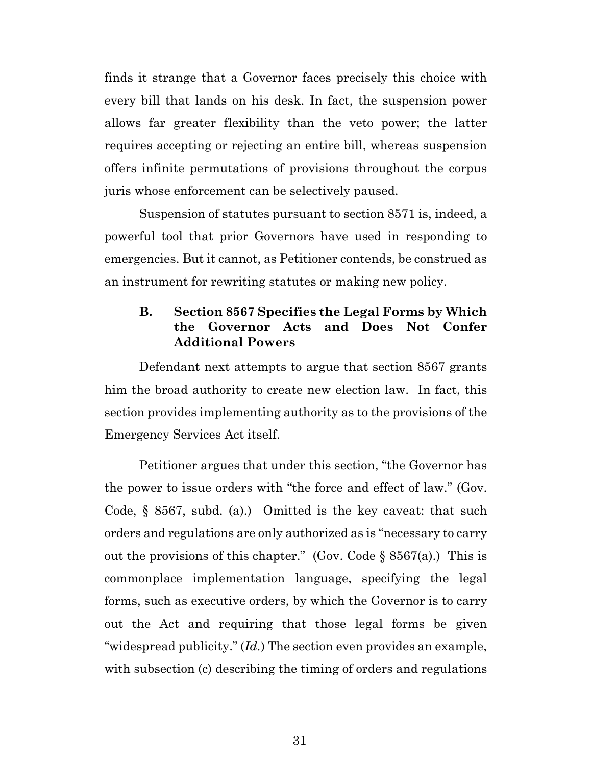finds it strange that a Governor faces precisely this choice with every bill that lands on his desk. In fact, the suspension power allows far greater flexibility than the veto power; the latter requires accepting or rejecting an entire bill, whereas suspension offers infinite permutations of provisions throughout the corpus juris whose enforcement can be selectively paused.

Suspension of statutes pursuant to section 8571 is, indeed, a powerful tool that prior Governors have used in responding to emergencies. But it cannot, as Petitioner contends, be construed as an instrument for rewriting statutes or making new policy.

## **B. Section 8567 Specifies the Legal Forms by Which the Governor Acts and Does Not Confer Additional Powers**

Defendant next attempts to argue that section 8567 grants him the broad authority to create new election law. In fact, this section provides implementing authority as to the provisions of the Emergency Services Act itself.

Petitioner argues that under this section, "the Governor has the power to issue orders with "the force and effect of law." (Gov. Code, § 8567, subd. (a).) Omitted is the key caveat: that such orders and regulations are only authorized as is "necessary to carry out the provisions of this chapter." (Gov. Code  $\S 8567(a)$ .) This is commonplace implementation language, specifying the legal forms, such as executive orders, by which the Governor is to carry out the Act and requiring that those legal forms be given "widespread publicity." (*Id.*) The section even provides an example, with subsection (c) describing the timing of orders and regulations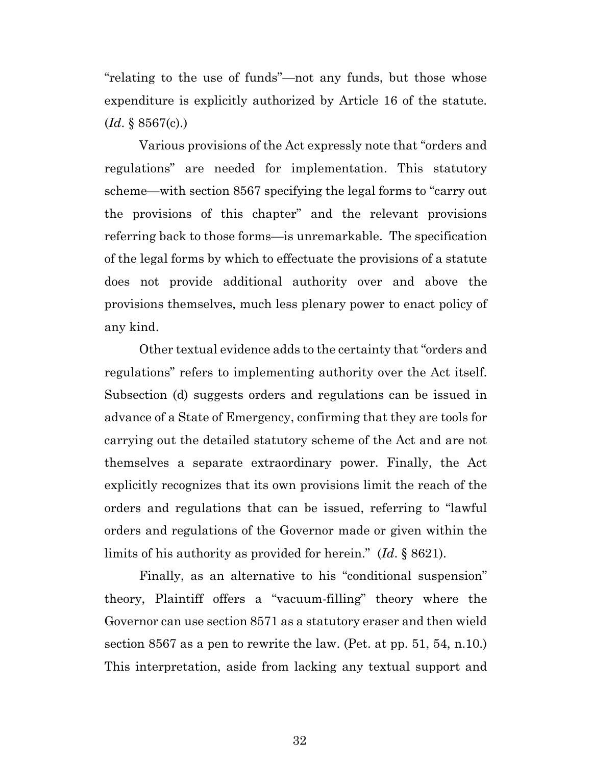"relating to the use of funds"—not any funds, but those whose expenditure is explicitly authorized by Article 16 of the statute. (*Id*. § 8567(c).)

Various provisions of the Act expressly note that "orders and regulations" are needed for implementation. This statutory scheme—with section 8567 specifying the legal forms to "carry out the provisions of this chapter" and the relevant provisions referring back to those forms—is unremarkable. The specification of the legal forms by which to effectuate the provisions of a statute does not provide additional authority over and above the provisions themselves, much less plenary power to enact policy of any kind.

Other textual evidence adds to the certainty that "orders and regulations" refers to implementing authority over the Act itself. Subsection (d) suggests orders and regulations can be issued in advance of a State of Emergency, confirming that they are tools for carrying out the detailed statutory scheme of the Act and are not themselves a separate extraordinary power. Finally, the Act explicitly recognizes that its own provisions limit the reach of the orders and regulations that can be issued, referring to "lawful orders and regulations of the Governor made or given within the limits of his authority as provided for herein." (*Id*. § 8621).

Finally, as an alternative to his "conditional suspension" theory, Plaintiff offers a "vacuum-filling" theory where the Governor can use section 8571 as a statutory eraser and then wield section 8567 as a pen to rewrite the law. (Pet. at pp. 51, 54, n.10.) This interpretation, aside from lacking any textual support and

32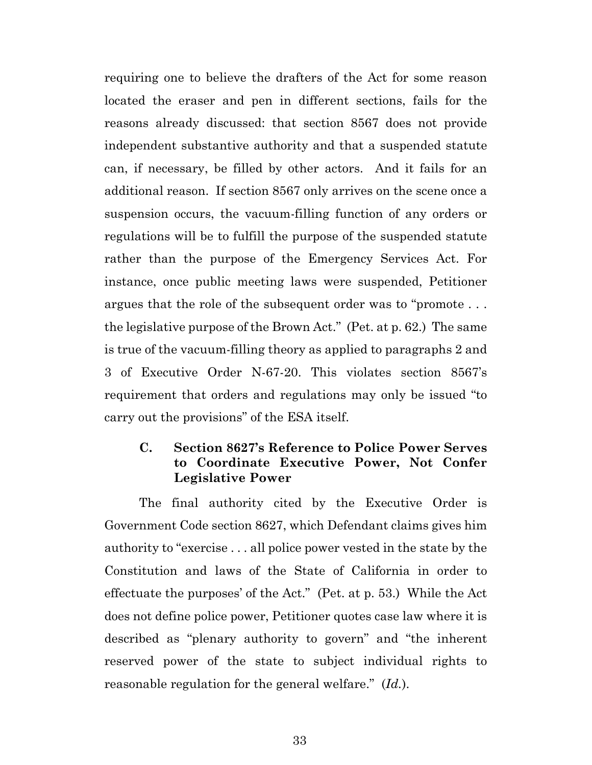requiring one to believe the drafters of the Act for some reason located the eraser and pen in different sections, fails for the reasons already discussed: that section 8567 does not provide independent substantive authority and that a suspended statute can, if necessary, be filled by other actors. And it fails for an additional reason. If section 8567 only arrives on the scene once a suspension occurs, the vacuum-filling function of any orders or regulations will be to fulfill the purpose of the suspended statute rather than the purpose of the Emergency Services Act. For instance, once public meeting laws were suspended, Petitioner argues that the role of the subsequent order was to "promote . . . the legislative purpose of the Brown Act." (Pet. at p. 62.) The same is true of the vacuum-filling theory as applied to paragraphs 2 and 3 of Executive Order N-67-20. This violates section 8567's requirement that orders and regulations may only be issued "to carry out the provisions" of the ESA itself.

## **C. Section 8627's Reference to Police Power Serves to Coordinate Executive Power, Not Confer Legislative Power**

The final authority cited by the Executive Order is Government Code section 8627, which Defendant claims gives him authority to "exercise . . . all police power vested in the state by the Constitution and laws of the State of California in order to effectuate the purposes' of the Act." (Pet. at p. 53.) While the Act does not define police power, Petitioner quotes case law where it is described as "plenary authority to govern" and "the inherent reserved power of the state to subject individual rights to reasonable regulation for the general welfare." (*Id.*).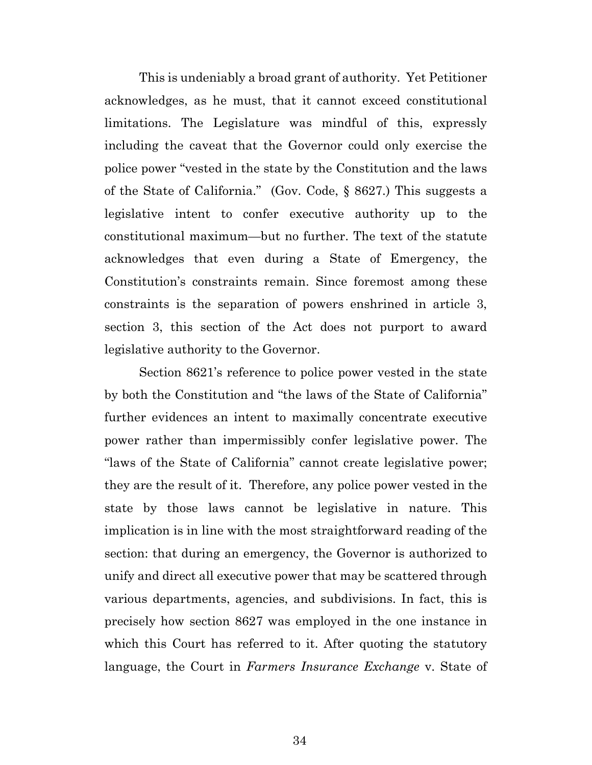This is undeniably a broad grant of authority. Yet Petitioner acknowledges, as he must, that it cannot exceed constitutional limitations. The Legislature was mindful of this, expressly including the caveat that the Governor could only exercise the police power "vested in the state by the Constitution and the laws of the State of California." (Gov. Code, § 8627.) This suggests a legislative intent to confer executive authority up to the constitutional maximum—but no further. The text of the statute acknowledges that even during a State of Emergency, the Constitution's constraints remain. Since foremost among these constraints is the separation of powers enshrined in article 3, section 3, this section of the Act does not purport to award legislative authority to the Governor.

Section 8621's reference to police power vested in the state by both the Constitution and "the laws of the State of California" further evidences an intent to maximally concentrate executive power rather than impermissibly confer legislative power. The "laws of the State of California" cannot create legislative power; they are the result of it. Therefore, any police power vested in the state by those laws cannot be legislative in nature. This implication is in line with the most straightforward reading of the section: that during an emergency, the Governor is authorized to unify and direct all executive power that may be scattered through various departments, agencies, and subdivisions. In fact, this is precisely how section 8627 was employed in the one instance in which this Court has referred to it. After quoting the statutory language, the Court in *Farmers Insurance Exchange* v. State of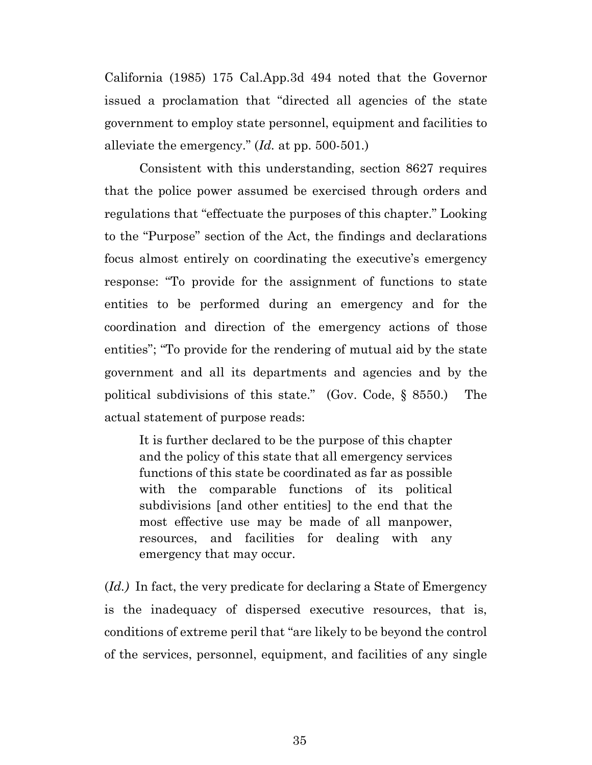California (1985) 175 Cal.App.3d 494 noted that the Governor issued a proclamation that "directed all agencies of the state government to employ state personnel, equipment and facilities to alleviate the emergency." (*Id.* at pp. 500-501.)

Consistent with this understanding, section 8627 requires that the police power assumed be exercised through orders and regulations that "effectuate the purposes of this chapter." Looking to the "Purpose" section of the Act, the findings and declarations focus almost entirely on coordinating the executive's emergency response: "To provide for the assignment of functions to state entities to be performed during an emergency and for the coordination and direction of the emergency actions of those entities"; "To provide for the rendering of mutual aid by the state government and all its departments and agencies and by the political subdivisions of this state." (Gov. Code, § 8550.) The actual statement of purpose reads:

It is further declared to be the purpose of this chapter and the policy of this state that all emergency services functions of this state be coordinated as far as possible with the comparable functions of its political subdivisions [and other entities] to the end that the most effective use may be made of all manpower, resources, and facilities for dealing with any emergency that may occur.

(*Id.)* In fact, the very predicate for declaring a State of Emergency is the inadequacy of dispersed executive resources, that is, conditions of extreme peril that "are likely to be beyond the control of the services, personnel, equipment, and facilities of any single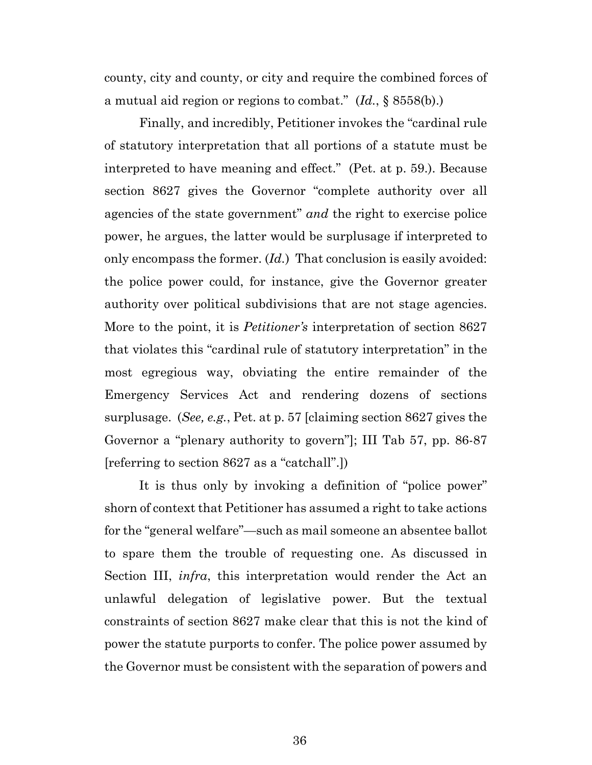county, city and county, or city and require the combined forces of a mutual aid region or regions to combat." (*Id.*, § 8558(b).)

Finally, and incredibly, Petitioner invokes the "cardinal rule of statutory interpretation that all portions of a statute must be interpreted to have meaning and effect." (Pet. at p. 59.). Because section 8627 gives the Governor "complete authority over all agencies of the state government" *and* the right to exercise police power, he argues, the latter would be surplusage if interpreted to only encompass the former. (*Id.*) That conclusion is easily avoided: the police power could, for instance, give the Governor greater authority over political subdivisions that are not stage agencies. More to the point, it is *Petitioner's* interpretation of section 8627 that violates this "cardinal rule of statutory interpretation" in the most egregious way, obviating the entire remainder of the Emergency Services Act and rendering dozens of sections surplusage. (*See, e.g.*, Pet. at p. 57 [claiming section 8627 gives the Governor a "plenary authority to govern"]; III Tab 57, pp. 86-87 [referring to section 8627 as a "catchall".])

It is thus only by invoking a definition of "police power" shorn of context that Petitioner has assumed a right to take actions for the "general welfare"—such as mail someone an absentee ballot to spare them the trouble of requesting one. As discussed in Section III, *infra*, this interpretation would render the Act an unlawful delegation of legislative power. But the textual constraints of section 8627 make clear that this is not the kind of power the statute purports to confer. The police power assumed by the Governor must be consistent with the separation of powers and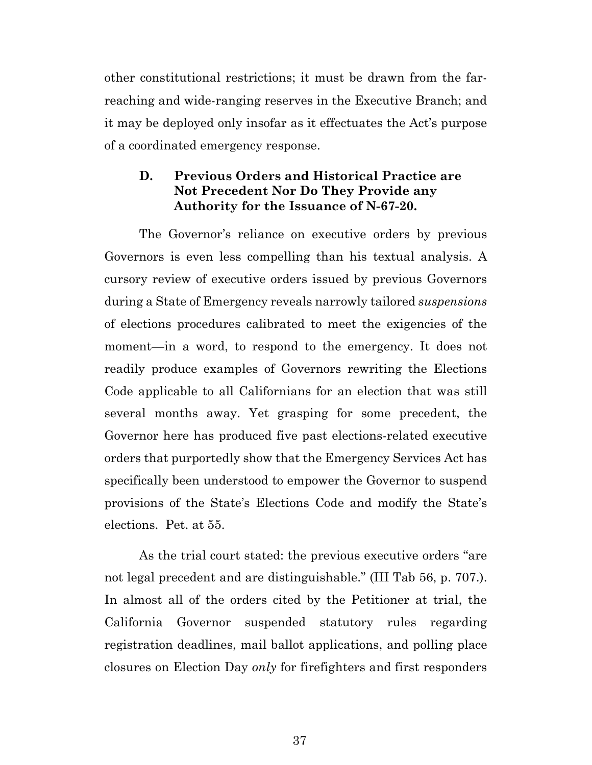other constitutional restrictions; it must be drawn from the farreaching and wide-ranging reserves in the Executive Branch; and it may be deployed only insofar as it effectuates the Act's purpose of a coordinated emergency response.

## **D. Previous Orders and Historical Practice are Not Precedent Nor Do They Provide any Authority for the Issuance of N-67-20.**

The Governor's reliance on executive orders by previous Governors is even less compelling than his textual analysis. A cursory review of executive orders issued by previous Governors during a State of Emergency reveals narrowly tailored *suspensions* of elections procedures calibrated to meet the exigencies of the moment—in a word, to respond to the emergency. It does not readily produce examples of Governors rewriting the Elections Code applicable to all Californians for an election that was still several months away. Yet grasping for some precedent, the Governor here has produced five past elections-related executive orders that purportedly show that the Emergency Services Act has specifically been understood to empower the Governor to suspend provisions of the State's Elections Code and modify the State's elections. Pet. at 55.

As the trial court stated: the previous executive orders "are not legal precedent and are distinguishable." (III Tab 56, p. 707.). In almost all of the orders cited by the Petitioner at trial, the California Governor suspended statutory rules regarding registration deadlines, mail ballot applications, and polling place closures on Election Day *only* for firefighters and first responders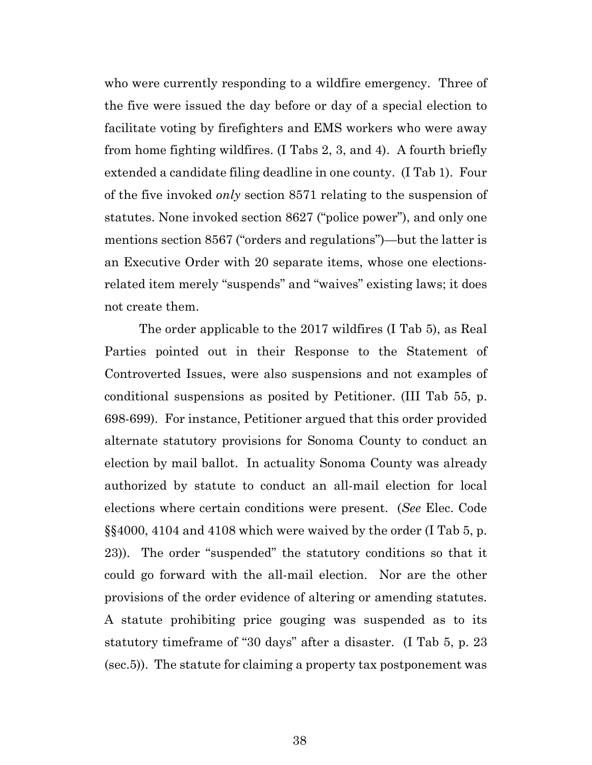who were currently responding to a wildfire emergency. Three of the five were issued the day before or day of a special election to facilitate voting by firefighters and EMS workers who were away from home fighting wildfires. (I Tabs 2, 3, and 4). A fourth briefly extended a candidate filing deadline in one county. (I Tab 1). Four of the five invoked *only* section 8571 relating to the suspension of statutes. None invoked section 8627 ("police power"), and only one mentions section 8567 ("orders and regulations")—but the latter is an Executive Order with 20 separate items, whose one electionsrelated item merely "suspends" and "waives" existing laws; it does not create them.

The order applicable to the 2017 wildfires (I Tab 5), as Real Parties pointed out in their Response to the Statement of Controverted Issues, were also suspensions and not examples of conditional suspensions as posited by Petitioner. (III Tab 55, p. 698-699). For instance, Petitioner argued that this order provided alternate statutory provisions for Sonoma County to conduct an election by mail ballot. In actuality Sonoma County was already authorized by statute to conduct an all-mail election for local elections where certain conditions were present. (*See* Elec. Code §§4000, 4104 and 4108 which were waived by the order (I Tab 5, p. 23)). The order "suspended" the statutory conditions so that it could go forward with the all-mail election. Nor are the other provisions of the order evidence of altering or amending statutes. A statute prohibiting price gouging was suspended as to its statutory timeframe of "30 days" after a disaster. (I Tab 5, p. 23 (sec.5)). The statute for claiming a property tax postponement was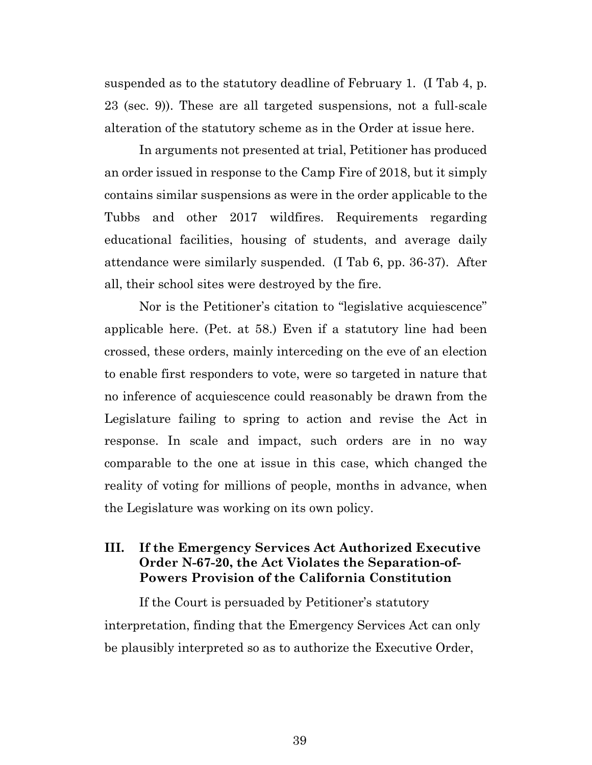suspended as to the statutory deadline of February 1. (I Tab 4, p. 23 (sec. 9)). These are all targeted suspensions, not a full-scale alteration of the statutory scheme as in the Order at issue here.

In arguments not presented at trial, Petitioner has produced an order issued in response to the Camp Fire of 2018, but it simply contains similar suspensions as were in the order applicable to the Tubbs and other 2017 wildfires. Requirements regarding educational facilities, housing of students, and average daily attendance were similarly suspended. (I Tab 6, pp. 36-37). After all, their school sites were destroyed by the fire.

Nor is the Petitioner's citation to "legislative acquiescence" applicable here. (Pet. at 58.) Even if a statutory line had been crossed, these orders, mainly interceding on the eve of an election to enable first responders to vote, were so targeted in nature that no inference of acquiescence could reasonably be drawn from the Legislature failing to spring to action and revise the Act in response. In scale and impact, such orders are in no way comparable to the one at issue in this case, which changed the reality of voting for millions of people, months in advance, when the Legislature was working on its own policy.

## **III. If the Emergency Services Act Authorized Executive Order N-67-20, the Act Violates the Separation-of-Powers Provision of the California Constitution**

If the Court is persuaded by Petitioner's statutory interpretation, finding that the Emergency Services Act can only be plausibly interpreted so as to authorize the Executive Order,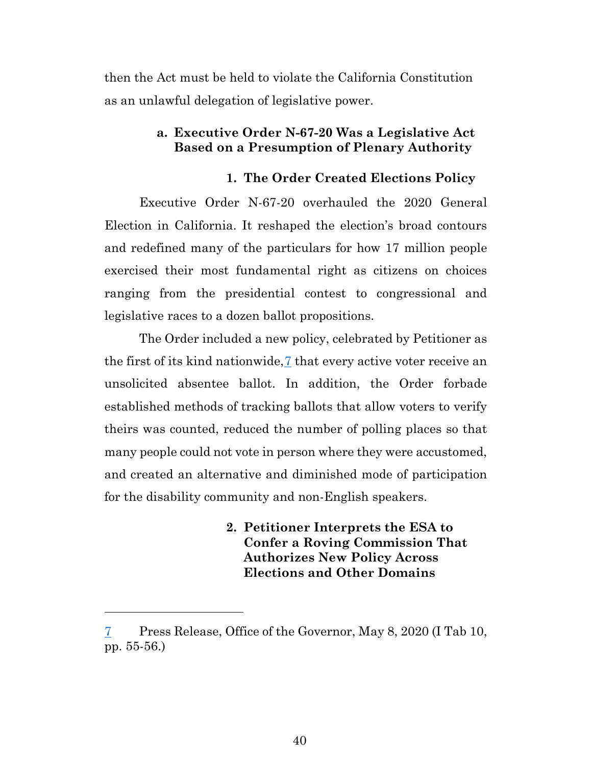then the Act must be held to violate the California Constitution as an unlawful delegation of legislative power.

### **a. Executive Order N-67-20 Was a Legislative Act Based on a Presumption of Plenary Authority**

#### **1. The Order Created Elections Policy**

Executive Order N-67-20 overhauled the 2020 General Election in California. It reshaped the election's broad contours and redefined many of the particulars for how 17 million people exercised their most fundamental right as citizens on choices ranging from the presidential contest to congressional and legislative races to a dozen ballot propositions.

The Order included a new policy, celebrated by Petitioner as the first of its kind nationwide,[7](#page-39-0) that every active voter receive an unsolicited absentee ballot. In addition, the Order forbade established methods of tracking ballots that allow voters to verify theirs was counted, reduced the number of polling places so that many people could not vote in person where they were accustomed, and created an alternative and diminished mode of participation for the disability community and non-English speakers.

> **2. Petitioner Interprets the ESA to Confer a Roving Commission That Authorizes New Policy Across Elections and Other Domains**

<span id="page-39-0"></span><sup>7</sup> Press Release, Office of the Governor, May 8, 2020 (I Tab 10, pp. 55-56.)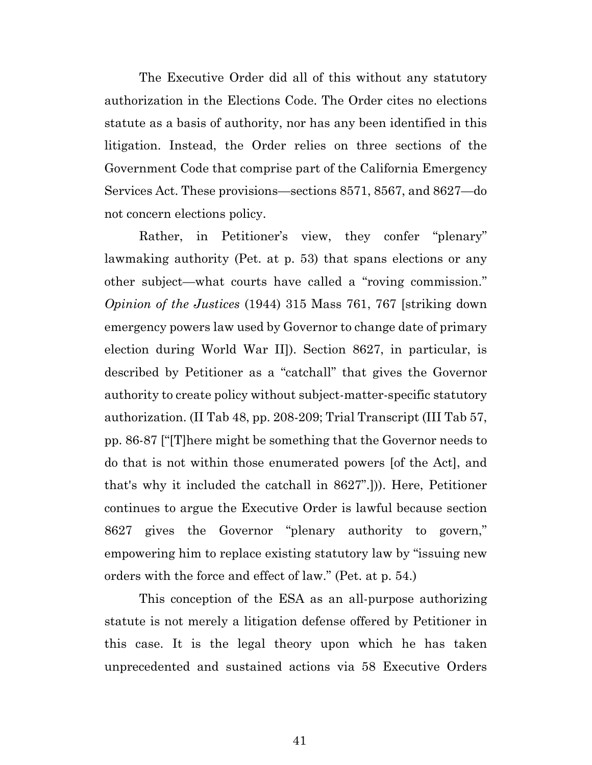The Executive Order did all of this without any statutory authorization in the Elections Code. The Order cites no elections statute as a basis of authority, nor has any been identified in this litigation. Instead, the Order relies on three sections of the Government Code that comprise part of the California Emergency Services Act. These provisions—sections 8571, 8567, and 8627—do not concern elections policy.

Rather, in Petitioner's view, they confer "plenary" lawmaking authority (Pet. at p. 53) that spans elections or any other subject—what courts have called a "roving commission." *Opinion of the Justices* (1944) 315 Mass 761, 767 [striking down emergency powers law used by Governor to change date of primary election during World War II]). Section 8627, in particular, is described by Petitioner as a "catchall" that gives the Governor authority to create policy without subject-matter-specific statutory authorization. (II Tab 48, pp. 208-209; Trial Transcript (III Tab 57, pp. 86-87 ["[T]here might be something that the Governor needs to do that is not within those enumerated powers [of the Act], and that's why it included the catchall in 8627".])). Here, Petitioner continues to argue the Executive Order is lawful because section 8627 gives the Governor "plenary authority to govern," empowering him to replace existing statutory law by "issuing new orders with the force and effect of law." (Pet. at p. 54.)

This conception of the ESA as an all-purpose authorizing statute is not merely a litigation defense offered by Petitioner in this case. It is the legal theory upon which he has taken unprecedented and sustained actions via 58 Executive Orders

41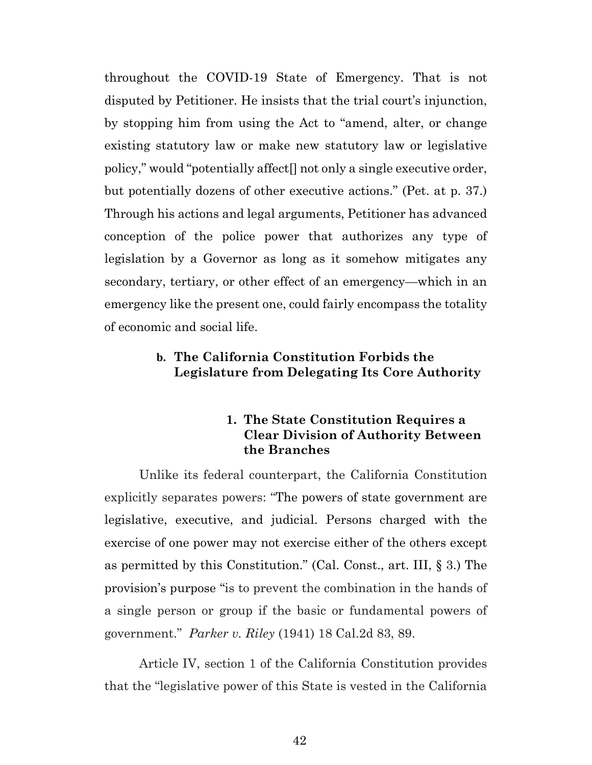throughout the COVID-19 State of Emergency. That is not disputed by Petitioner. He insists that the trial court's injunction, by stopping him from using the Act to "amend, alter, or change existing statutory law or make new statutory law or legislative policy," would "potentially affect[] not only a single executive order, but potentially dozens of other executive actions." (Pet. at p. 37.) Through his actions and legal arguments, Petitioner has advanced conception of the police power that authorizes any type of legislation by a Governor as long as it somehow mitigates any secondary, tertiary, or other effect of an emergency—which in an emergency like the present one, could fairly encompass the totality of economic and social life.

## **b. The California Constitution Forbids the Legislature from Delegating Its Core Authority**

## **1. The State Constitution Requires a Clear Division of Authority Between the Branches**

Unlike its federal counterpart, the California Constitution explicitly separates powers: "The powers of state government are legislative, executive, and judicial. Persons charged with the exercise of one power may not exercise either of the others except as permitted by this Constitution." (Cal. Const., art. III, § 3.) The provision's purpose "is to prevent the combination in the hands of a single person or group if the basic or fundamental powers of government." *Parker v. Riley* (1941) 18 Cal.2d 83, 89.

Article IV, section 1 of the California Constitution provides that the "legislative power of this State is vested in the California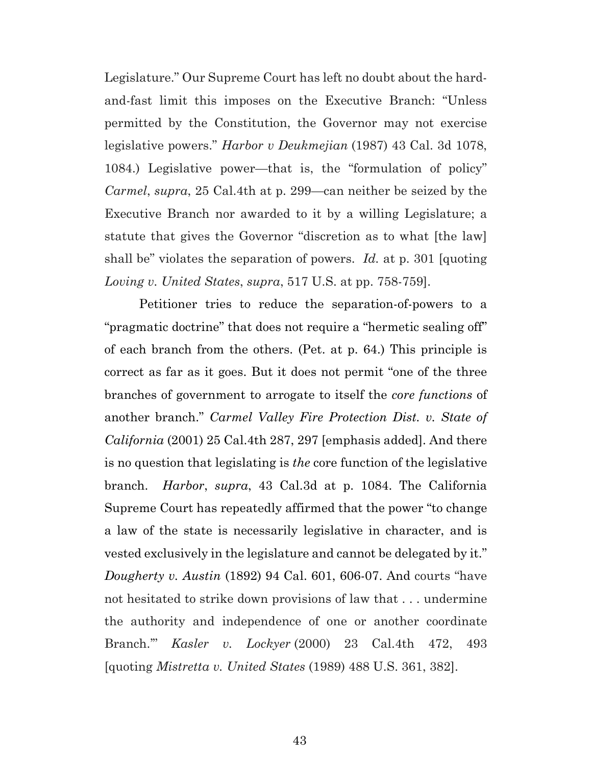Legislature." Our Supreme Court has left no doubt about the hardand-fast limit this imposes on the Executive Branch: "Unless permitted by the Constitution, the Governor may not exercise legislative powers." *Harbor v Deukmejian* (1987) 43 Cal. 3d 1078, 1084.) Legislative power—that is, the "formulation of policy" *Carmel*, *supra*, 25 Cal.4th at p. 299—can neither be seized by the Executive Branch nor awarded to it by a willing Legislature; a statute that gives the Governor "discretion as to what [the law] shall be" violates the separation of powers. *Id.* at p. 301 [quoting *Loving v. United States*, *supra*, 517 U.S. at pp. 758-759].

Petitioner tries to reduce the separation-of-powers to a "pragmatic doctrine" that does not require a "hermetic sealing off" of each branch from the others. (Pet. at p. 64.) This principle is correct as far as it goes. But it does not permit "one of the three branches of government to arrogate to itself the *core functions* of another branch." *Carmel Valley Fire Protection Dist. v. State of California* (2001) 25 Cal.4th 287, 297 [emphasis added]. And there is no question that legislating is *the* core function of the legislative branch. *Harbor*, *supra*, 43 Cal.3d at p. 1084. The California Supreme Court has repeatedly affirmed that the power "to change a law of the state is necessarily legislative in character, and is vested exclusively in the legislature and cannot be delegated by it." *Dougherty v. Austin* (1892) 94 Cal. 601, 606-07. And courts "have not hesitated to strike down provisions of law that . . . undermine the authority and independence of one or another coordinate Branch.'" *Kasler v. Lockyer* (2000) 23 Cal.4th 472, 493 [quoting *Mistretta v. United States* (1989) 488 U.S. 361, 382].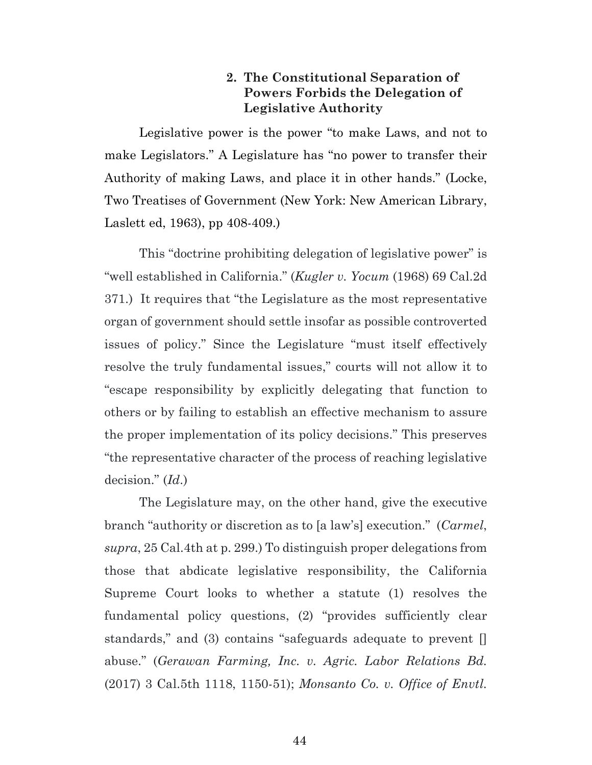## **2. The Constitutional Separation of Powers Forbids the Delegation of Legislative Authority**

Legislative power is the power "to make Laws, and not to make Legislators." A Legislature has "no power to transfer their Authority of making Laws, and place it in other hands." (Locke, Two Treatises of Government (New York: New American Library, Laslett ed, 1963), pp 408-409.)

This "doctrine prohibiting delegation of legislative power" is "well established in California." (*Kugler v. Yocum* (1968) 69 Cal.2d 371.) It requires that "the Legislature as the most representative organ of government should settle insofar as possible controverted issues of policy." Since the Legislature "must itself effectively resolve the truly fundamental issues," courts will not allow it to "escape responsibility by explicitly delegating that function to others or by failing to establish an effective mechanism to assure the proper implementation of its policy decisions." This preserves "the representative character of the process of reaching legislative decision." (*Id*.)

The Legislature may, on the other hand, give the executive branch "authority or discretion as to [a law's] execution." (*Carmel*, *supra*, 25 Cal.4th at p. 299.) To distinguish proper delegations from those that abdicate legislative responsibility, the California Supreme Court looks to whether a statute (1) resolves the fundamental policy questions, (2) "provides sufficiently clear standards," and (3) contains "safeguards adequate to prevent [] abuse." (*Gerawan Farming, Inc. v. Agric. Labor Relations Bd.* (2017) 3 Cal.5th 1118, 1150-51); *Monsanto Co. v. Office of Envtl.*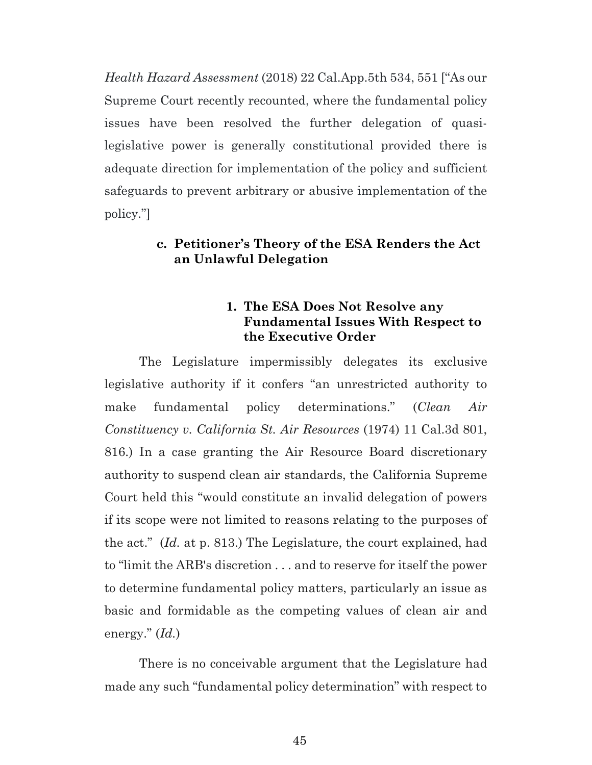*Health Hazard Assessment* (2018) 22 Cal.App.5th 534, 551 ["As our Supreme Court recently recounted, where the fundamental policy issues have been resolved the further delegation of quasilegislative power is generally constitutional provided there is adequate direction for implementation of the policy and sufficient safeguards to prevent arbitrary or abusive implementation of the policy."]

### **c. Petitioner's Theory of the ESA Renders the Act an Unlawful Delegation**

## **1. The ESA Does Not Resolve any Fundamental Issues With Respect to the Executive Order**

The Legislature impermissibly delegates its exclusive legislative authority if it confers "an unrestricted authority to make fundamental policy determinations." (*Clean Air Constituency v. California St. Air Resources* (1974) 11 Cal.3d 801, 816.) In a case granting the Air Resource Board discretionary authority to suspend clean air standards, the California Supreme Court held this "would constitute an invalid delegation of powers if its scope were not limited to reasons relating to the purposes of the act." (*Id.* at p. 813.) The Legislature, the court explained, had to "limit the ARB's discretion . . . and to reserve for itself the power to determine fundamental policy matters, particularly an issue as basic and formidable as the competing values of clean air and energy." (*Id.*)

There is no conceivable argument that the Legislature had made any such "fundamental policy determination" with respect to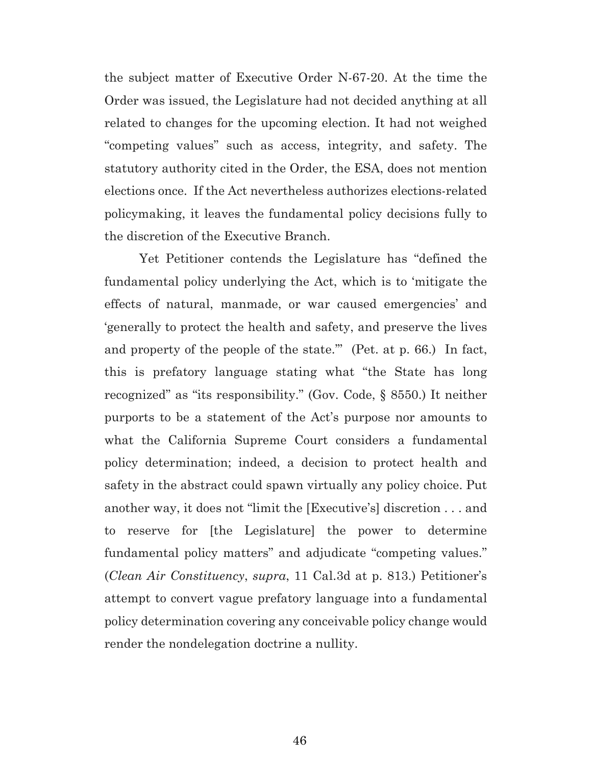the subject matter of Executive Order N-67-20. At the time the Order was issued, the Legislature had not decided anything at all related to changes for the upcoming election. It had not weighed "competing values" such as access, integrity, and safety. The statutory authority cited in the Order, the ESA, does not mention elections once. If the Act nevertheless authorizes elections-related policymaking, it leaves the fundamental policy decisions fully to the discretion of the Executive Branch.

Yet Petitioner contends the Legislature has "defined the fundamental policy underlying the Act, which is to 'mitigate the effects of natural, manmade, or war caused emergencies' and 'generally to protect the health and safety, and preserve the lives and property of the people of the state.'" (Pet. at p. 66.) In fact, this is prefatory language stating what "the State has long recognized" as "its responsibility." (Gov. Code, § 8550.) It neither purports to be a statement of the Act's purpose nor amounts to what the California Supreme Court considers a fundamental policy determination; indeed, a decision to protect health and safety in the abstract could spawn virtually any policy choice. Put another way, it does not "limit the [Executive's] discretion . . . and to reserve for [the Legislature] the power to determine fundamental policy matters" and adjudicate "competing values." (*Clean Air Constituency*, *supra*, 11 Cal.3d at p. 813.) Petitioner's attempt to convert vague prefatory language into a fundamental policy determination covering any conceivable policy change would render the nondelegation doctrine a nullity.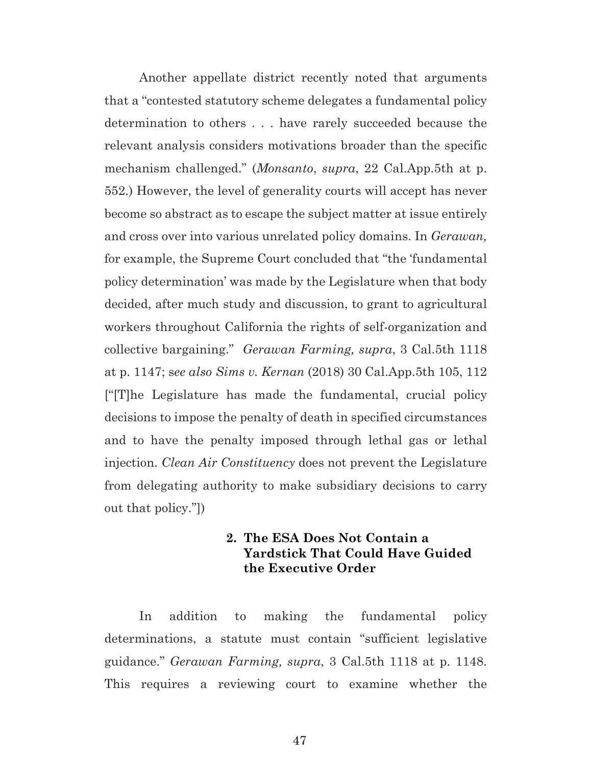Another appellate district recently noted that arguments that a "contested statutory scheme delegates a fundamental policy determination to others . . . have rarely succeeded because the relevant analysis considers motivations broader than the specific mechanism challenged." (*Monsanto*, *supra*, 22 Cal.App.5th at p. 552.) However, the level of generality courts will accept has never become so abstract as to escape the subject matter at issue entirely and cross over into various unrelated policy domains. In *Gerawan,*  for example, the Supreme Court concluded that "the 'fundamental policy determination' was made by the Legislature when that body decided, after much study and discussion, to grant to agricultural workers throughout California the rights of self-organization and collective bargaining." *Gerawan Farming, supra*, 3 Cal.5th 1118 at p. 1147; s*ee also Sims v. Kernan* (2018) 30 Cal.App.5th 105, 112 ["[T]he Legislature has made the fundamental, crucial policy decisions to impose the penalty of death in specified circumstances and to have the penalty imposed through lethal gas or lethal injection. *Clean Air Constituency* does not prevent the Legislature from delegating authority to make subsidiary decisions to carry out that policy."])

## **2. The ESA Does Not Contain a Yardstick That Could Have Guided the Executive Order**

In addition to making the fundamental policy determinations, a statute must contain "sufficient legislative guidance." *Gerawan Farming, supra*, 3 Cal.5th 1118 at p. 1148. This requires a reviewing court to examine whether the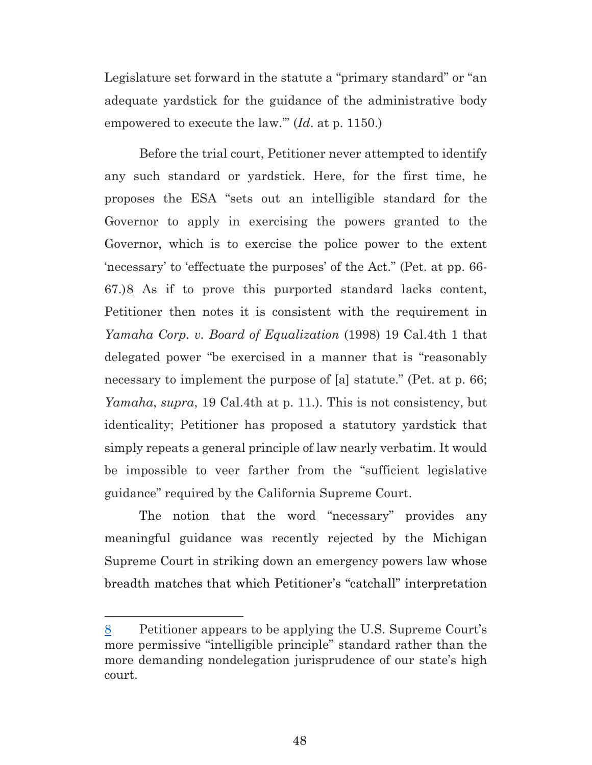Legislature set forward in the statute a "primary standard" or "an adequate yardstick for the guidance of the administrative body empowered to execute the law.'" (*Id*. at p. 1150.)

Before the trial court, Petitioner never attempted to identify any such standard or yardstick. Here, for the first time, he proposes the ESA "sets out an intelligible standard for the Governor to apply in exercising the powers granted to the Governor, which is to exercise the police power to the extent 'necessary' to 'effectuate the purposes' of the Act." (Pet. at pp. 66- 67.)[8](#page-47-0) As if to prove this purported standard lacks content, Petitioner then notes it is consistent with the requirement in *Yamaha Corp. v. Board of Equalization* (1998) 19 Cal.4th 1 that delegated power "be exercised in a manner that is "reasonably necessary to implement the purpose of [a] statute." (Pet. at p. 66; *Yamaha*, *supra*, 19 Cal.4th at p. 11.). This is not consistency, but identicality; Petitioner has proposed a statutory yardstick that simply repeats a general principle of law nearly verbatim. It would be impossible to veer farther from the "sufficient legislative guidance" required by the California Supreme Court.

The notion that the word "necessary" provides any meaningful guidance was recently rejected by the Michigan Supreme Court in striking down an emergency powers law whose breadth matches that which Petitioner's "catchall" interpretation

<span id="page-47-0"></span><sup>8</sup> Petitioner appears to be applying the U.S. Supreme Court's more permissive "intelligible principle" standard rather than the more demanding nondelegation jurisprudence of our state's high court.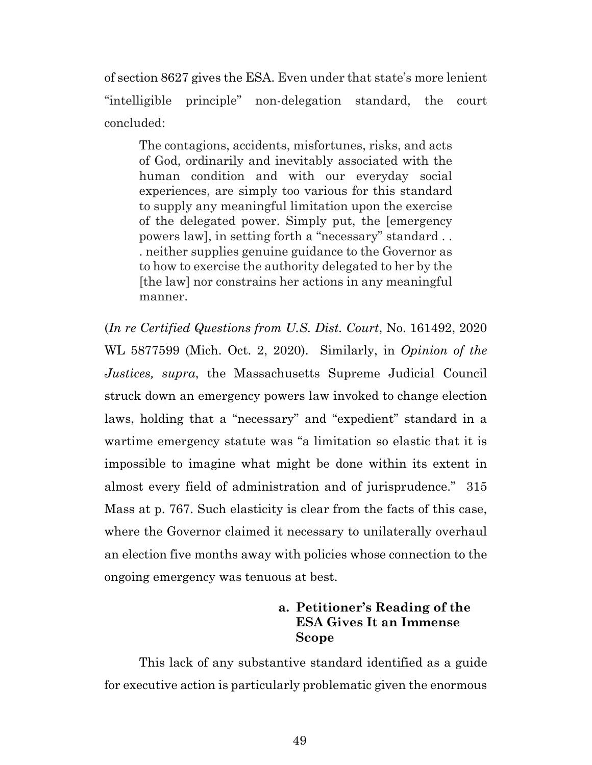of section 8627 gives the ESA. Even under that state's more lenient "intelligible principle" non-delegation standard, the court concluded:

The contagions, accidents, misfortunes, risks, and acts of God, ordinarily and inevitably associated with the human condition and with our everyday social experiences, are simply too various for this standard to supply any meaningful limitation upon the exercise of the delegated power. Simply put, the [emergency powers law], in setting forth a "necessary" standard . . . neither supplies genuine guidance to the Governor as to how to exercise the authority delegated to her by the [the law] nor constrains her actions in any meaningful manner.

(*In re Certified Questions from U.S. Dist. Court*, No. 161492, 2020 WL 5877599 (Mich. Oct. 2, 2020). Similarly, in *Opinion of the Justices, supra*, the Massachusetts Supreme Judicial Council struck down an emergency powers law invoked to change election laws, holding that a "necessary" and "expedient" standard in a wartime emergency statute was "a limitation so elastic that it is impossible to imagine what might be done within its extent in almost every field of administration and of jurisprudence." 315 Mass at p. 767. Such elasticity is clear from the facts of this case, where the Governor claimed it necessary to unilaterally overhaul an election five months away with policies whose connection to the ongoing emergency was tenuous at best.

## **a. Petitioner's Reading of the ESA Gives It an Immense Scope**

This lack of any substantive standard identified as a guide for executive action is particularly problematic given the enormous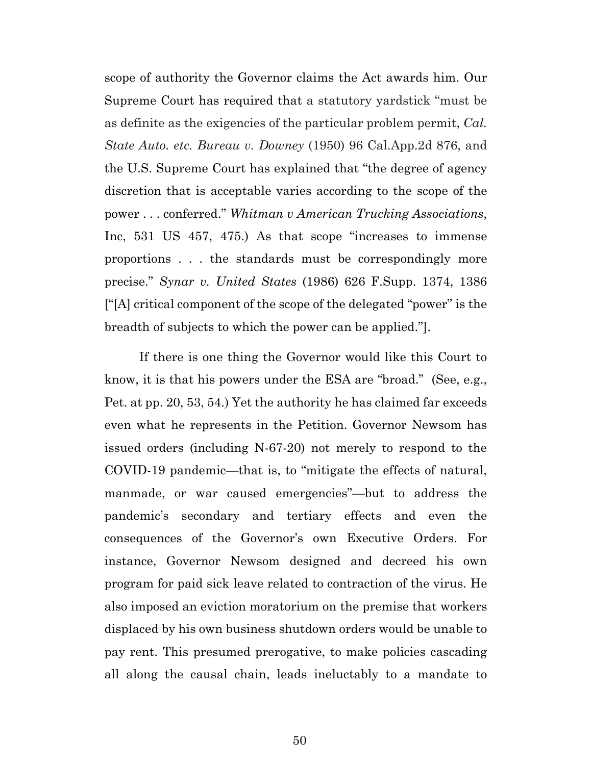scope of authority the Governor claims the Act awards him. Our Supreme Court has required that a statutory yardstick "must be as definite as the exigencies of the particular problem permit, *Cal. State Auto. etc. Bureau v. Downey* (1950) 96 Cal.App.2d 876, and the U.S. Supreme Court has explained that "the degree of agency discretion that is acceptable varies according to the scope of the power . . . conferred." *Whitman v American Trucking Associations*, Inc, 531 US 457, 475.) As that scope "increases to immense proportions . . . the standards must be correspondingly more precise." *Synar v. United States* (1986) 626 F.Supp. 1374, 1386 ["[A] critical component of the scope of the delegated "power" is the breadth of subjects to which the power can be applied."].

If there is one thing the Governor would like this Court to know, it is that his powers under the ESA are "broad." (See, e.g., Pet. at pp. 20, 53, 54.) Yet the authority he has claimed far exceeds even what he represents in the Petition. Governor Newsom has issued orders (including N-67-20) not merely to respond to the COVID-19 pandemic—that is, to "mitigate the effects of natural, manmade, or war caused emergencies"—but to address the pandemic's secondary and tertiary effects and even the consequences of the Governor's own Executive Orders. For instance, Governor Newsom designed and decreed his own program for paid sick leave related to contraction of the virus. He also imposed an eviction moratorium on the premise that workers displaced by his own business shutdown orders would be unable to pay rent. This presumed prerogative, to make policies cascading all along the causal chain, leads ineluctably to a mandate to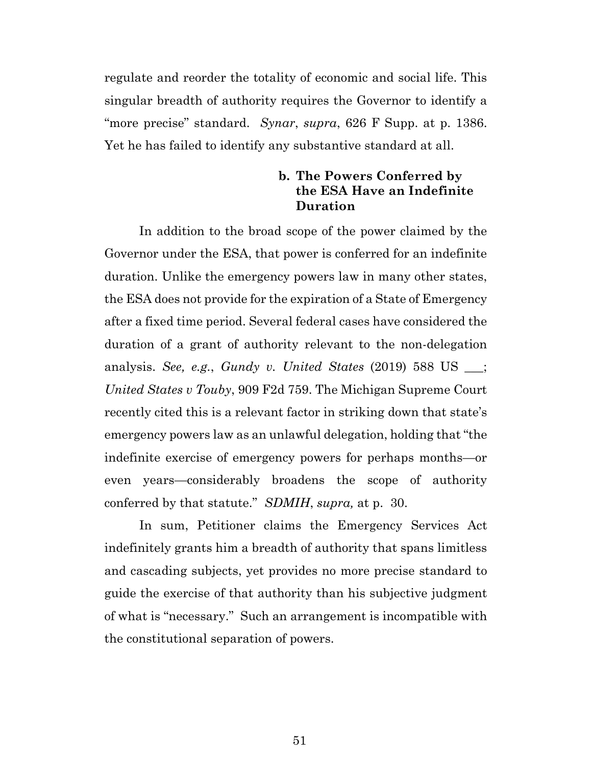regulate and reorder the totality of economic and social life. This singular breadth of authority requires the Governor to identify a "more precise" standard. *Synar*, *supra*, 626 F Supp. at p. 1386. Yet he has failed to identify any substantive standard at all.

## **b. The Powers Conferred by the ESA Have an Indefinite Duration**

In addition to the broad scope of the power claimed by the Governor under the ESA, that power is conferred for an indefinite duration. Unlike the emergency powers law in many other states, the ESA does not provide for the expiration of a State of Emergency after a fixed time period. Several federal cases have considered the duration of a grant of authority relevant to the non-delegation analysis. *See, e.g.*, *Gundy v. United States* (2019) 588 US \_\_\_; *United States v Touby*, 909 F2d 759. The Michigan Supreme Court recently cited this is a relevant factor in striking down that state's emergency powers law as an unlawful delegation, holding that "the indefinite exercise of emergency powers for perhaps months—or even years—considerably broadens the scope of authority conferred by that statute." *SDMIH*, *supra,* at p. 30.

In sum, Petitioner claims the Emergency Services Act indefinitely grants him a breadth of authority that spans limitless and cascading subjects, yet provides no more precise standard to guide the exercise of that authority than his subjective judgment of what is "necessary." Such an arrangement is incompatible with the constitutional separation of powers.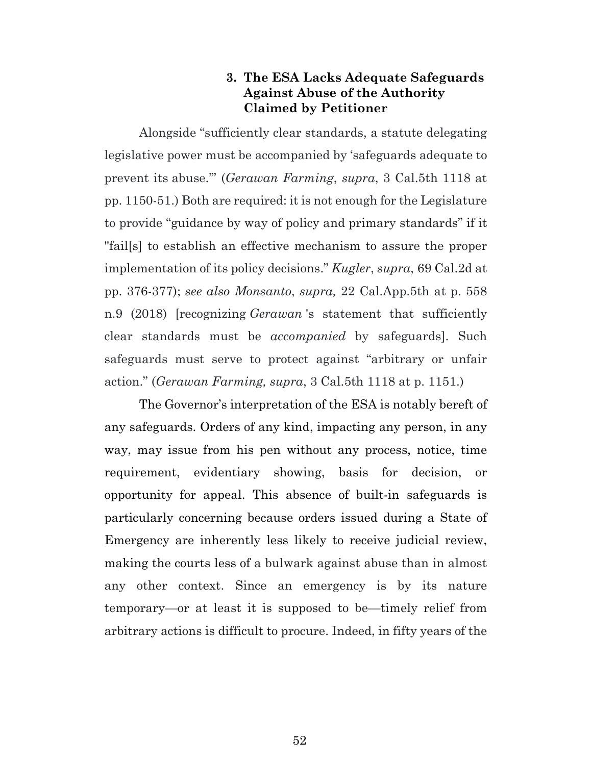## **3. The ESA Lacks Adequate Safeguards Against Abuse of the Authority Claimed by Petitioner**

Alongside "sufficiently clear standards, a statute delegating legislative power must be accompanied by 'safeguards adequate to prevent its abuse.'" (*Gerawan Farming*, *supra*, 3 Cal.5th 1118 at pp. 1150-51.) Both are required: it is not enough for the Legislature to provide "guidance by way of policy and primary standards" if it "fail[s] to establish an effective mechanism to assure the proper implementation of its policy decisions." *Kugler*, *supra*, 69 Cal.2d at pp. 376-377); *see also Monsanto*, *supra,* 22 Cal.App.5th at p. 558 n.9 (2018) [recognizing *Gerawan* 's statement that sufficiently clear standards must be *accompanied* by safeguards]. Such safeguards must serve to protect against "arbitrary or unfair action." (*Gerawan Farming, supra*, 3 Cal.5th 1118 at p. 1151.)

The Governor's interpretation of the ESA is notably bereft of any safeguards. Orders of any kind, impacting any person, in any way, may issue from his pen without any process, notice, time requirement, evidentiary showing, basis for decision, or opportunity for appeal. This absence of built-in safeguards is particularly concerning because orders issued during a State of Emergency are inherently less likely to receive judicial review, making the courts less of a bulwark against abuse than in almost any other context. Since an emergency is by its nature temporary—or at least it is supposed to be—timely relief from arbitrary actions is difficult to procure. Indeed, in fifty years of the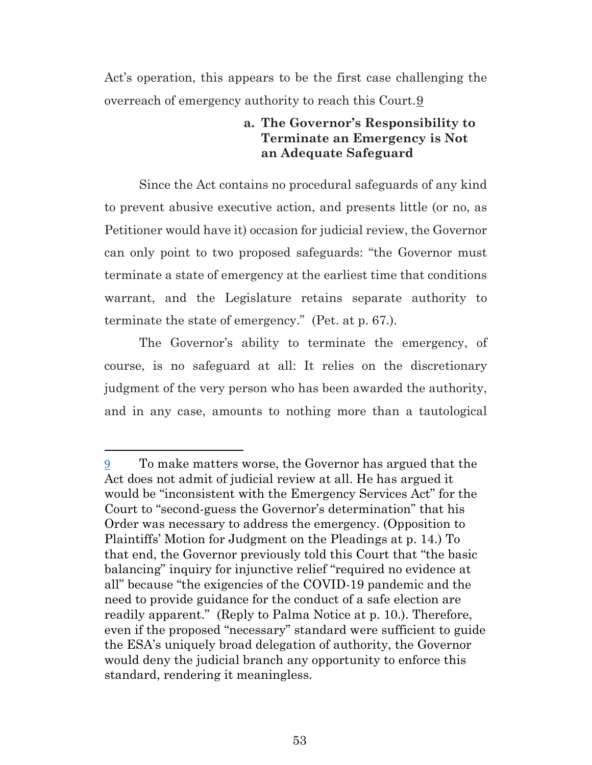Act's operation, this appears to be the first case challenging the overreach of emergency authority to reach this Court.[9](#page-52-0)

## **a. The Governor's Responsibility to Terminate an Emergency is Not an Adequate Safeguard**

Since the Act contains no procedural safeguards of any kind to prevent abusive executive action, and presents little (or no, as Petitioner would have it) occasion for judicial review, the Governor can only point to two proposed safeguards: "the Governor must terminate a state of emergency at the earliest time that conditions warrant, and the Legislature retains separate authority to terminate the state of emergency." (Pet. at p. 67.).

The Governor's ability to terminate the emergency, of course, is no safeguard at all: It relies on the discretionary judgment of the very person who has been awarded the authority, and in any case, amounts to nothing more than a tautological

<span id="page-52-0"></span><sup>9</sup> To make matters worse, the Governor has argued that the Act does not admit of judicial review at all. He has argued it would be "inconsistent with the Emergency Services Act" for the Court to "second-guess the Governor's determination" that his Order was necessary to address the emergency. (Opposition to Plaintiffs' Motion for Judgment on the Pleadings at p. 14.) To that end, the Governor previously told this Court that "the basic balancing" inquiry for injunctive relief "required no evidence at all" because "the exigencies of the COVID-19 pandemic and the need to provide guidance for the conduct of a safe election are readily apparent." (Reply to Palma Notice at p. 10.). Therefore, even if the proposed "necessary" standard were sufficient to guide the ESA's uniquely broad delegation of authority, the Governor would deny the judicial branch any opportunity to enforce this standard, rendering it meaningless.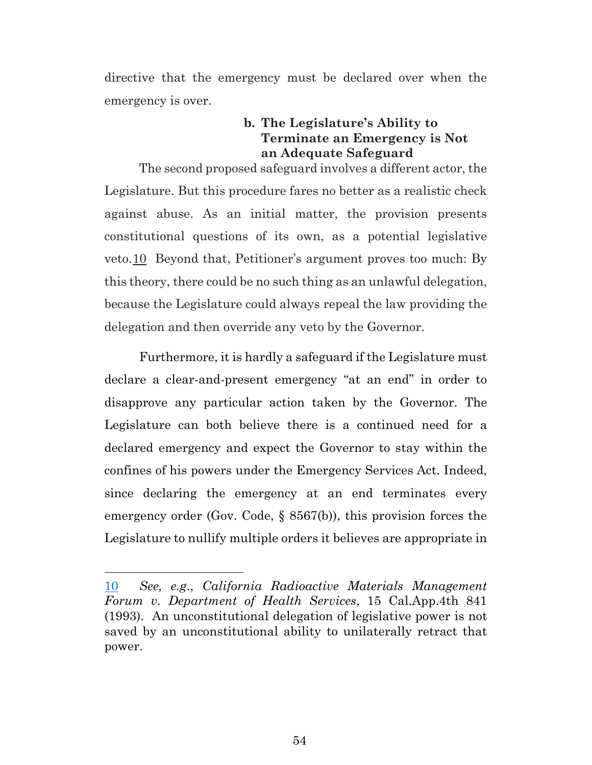directive that the emergency must be declared over when the emergency is over.

## **b. The Legislature's Ability to Terminate an Emergency is Not an Adequate Safeguard**

The second proposed safeguard involves a different actor, the Legislature. But this procedure fares no better as a realistic check against abuse. As an initial matter, the provision presents constitutional questions of its own, as a potential legislative veto.[10](#page-53-0) Beyond that, Petitioner's argument proves too much: By this theory, there could be no such thing as an unlawful delegation, because the Legislature could always repeal the law providing the delegation and then override any veto by the Governor.

Furthermore, it is hardly a safeguard if the Legislature must declare a clear-and-present emergency "at an end" in order to disapprove any particular action taken by the Governor. The Legislature can both believe there is a continued need for a declared emergency and expect the Governor to stay within the confines of his powers under the Emergency Services Act. Indeed, since declaring the emergency at an end terminates every emergency order (Gov. Code, § 8567(b)), this provision forces the Legislature to nullify multiple orders it believes are appropriate in

<span id="page-53-0"></span><sup>10</sup> *See, e.g*., *California Radioactive Materials Management Forum v. Department of Health Services*, 15 Cal.App.4th 841 (1993). An unconstitutional delegation of legislative power is not saved by an unconstitutional ability to unilaterally retract that power.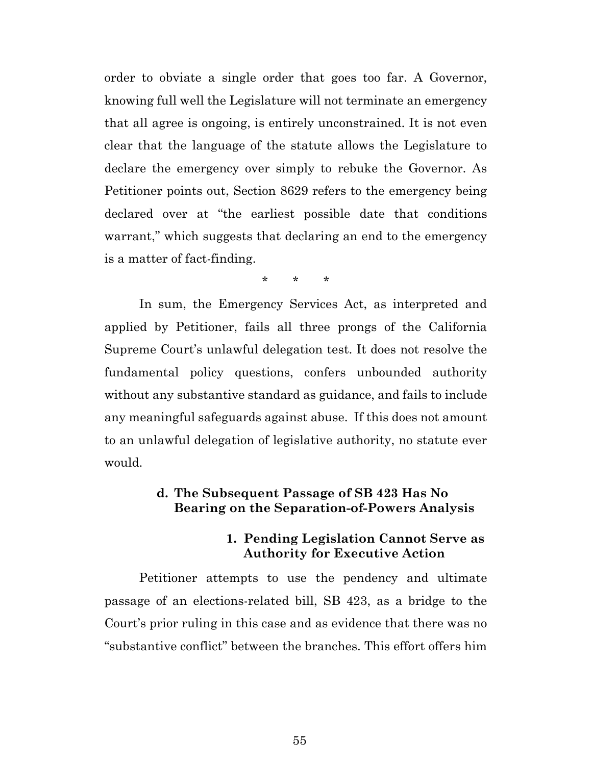order to obviate a single order that goes too far. A Governor, knowing full well the Legislature will not terminate an emergency that all agree is ongoing, is entirely unconstrained. It is not even clear that the language of the statute allows the Legislature to declare the emergency over simply to rebuke the Governor. As Petitioner points out, Section 8629 refers to the emergency being declared over at "the earliest possible date that conditions warrant," which suggests that declaring an end to the emergency is a matter of fact-finding.

\* \* \*

In sum, the Emergency Services Act, as interpreted and applied by Petitioner, fails all three prongs of the California Supreme Court's unlawful delegation test. It does not resolve the fundamental policy questions, confers unbounded authority without any substantive standard as guidance, and fails to include any meaningful safeguards against abuse. If this does not amount to an unlawful delegation of legislative authority, no statute ever would.

#### **d. The Subsequent Passage of SB 423 Has No Bearing on the Separation-of-Powers Analysis**

#### **1. Pending Legislation Cannot Serve as Authority for Executive Action**

Petitioner attempts to use the pendency and ultimate passage of an elections-related bill, SB 423, as a bridge to the Court's prior ruling in this case and as evidence that there was no "substantive conflict" between the branches. This effort offers him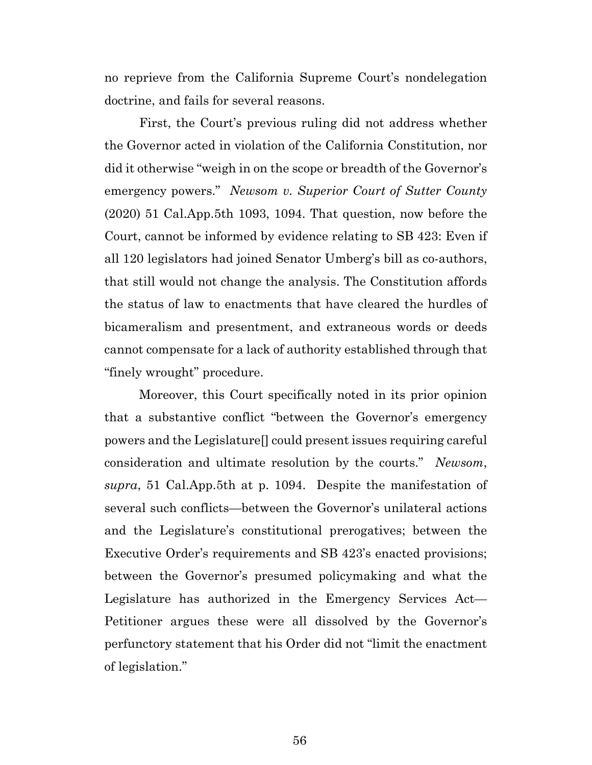no reprieve from the California Supreme Court's nondelegation doctrine, and fails for several reasons.

First, the Court's previous ruling did not address whether the Governor acted in violation of the California Constitution, nor did it otherwise "weigh in on the scope or breadth of the Governor's emergency powers." *Newsom v. Superior Court of Sutter County* (2020) 51 Cal.App.5th 1093, 1094. That question, now before the Court, cannot be informed by evidence relating to SB 423: Even if all 120 legislators had joined Senator Umberg's bill as co-authors, that still would not change the analysis. The Constitution affords the status of law to enactments that have cleared the hurdles of bicameralism and presentment, and extraneous words or deeds cannot compensate for a lack of authority established through that "finely wrought" procedure.

Moreover, this Court specifically noted in its prior opinion that a substantive conflict "between the Governor's emergency powers and the Legislature[] could present issues requiring careful consideration and ultimate resolution by the courts." *Newsom*, *supra*, 51 Cal.App.5th at p. 1094. Despite the manifestation of several such conflicts—between the Governor's unilateral actions and the Legislature's constitutional prerogatives; between the Executive Order's requirements and SB 423's enacted provisions; between the Governor's presumed policymaking and what the Legislature has authorized in the Emergency Services Act— Petitioner argues these were all dissolved by the Governor's perfunctory statement that his Order did not "limit the enactment of legislation."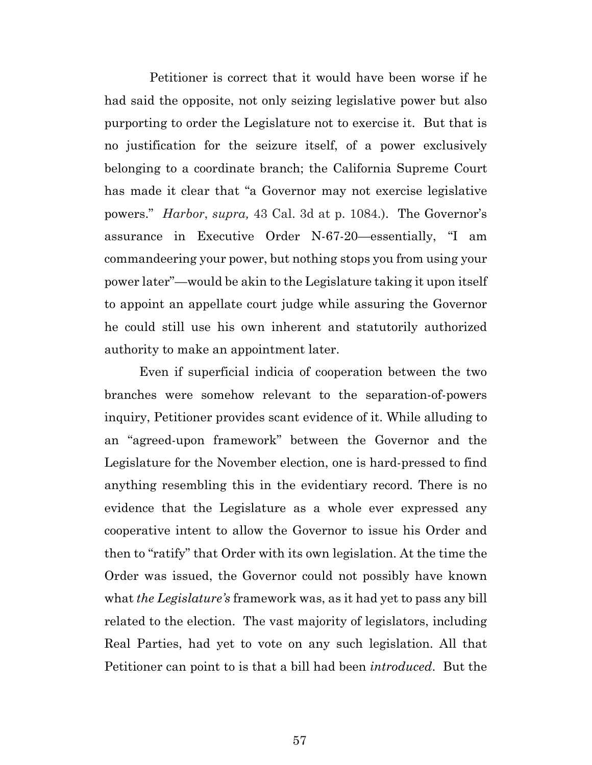Petitioner is correct that it would have been worse if he had said the opposite, not only seizing legislative power but also purporting to order the Legislature not to exercise it. But that is no justification for the seizure itself, of a power exclusively belonging to a coordinate branch; the California Supreme Court has made it clear that "a Governor may not exercise legislative powers." *Harbor*, *supra,* 43 Cal. 3d at p. 1084.). The Governor's assurance in Executive Order N-67-20—essentially, "I am commandeering your power, but nothing stops you from using your power later"—would be akin to the Legislature taking it upon itself to appoint an appellate court judge while assuring the Governor he could still use his own inherent and statutorily authorized authority to make an appointment later.

Even if superficial indicia of cooperation between the two branches were somehow relevant to the separation-of-powers inquiry, Petitioner provides scant evidence of it. While alluding to an "agreed-upon framework" between the Governor and the Legislature for the November election, one is hard-pressed to find anything resembling this in the evidentiary record. There is no evidence that the Legislature as a whole ever expressed any cooperative intent to allow the Governor to issue his Order and then to "ratify" that Order with its own legislation. At the time the Order was issued, the Governor could not possibly have known what *the Legislature's* framework was, as it had yet to pass any bill related to the election. The vast majority of legislators, including Real Parties, had yet to vote on any such legislation. All that Petitioner can point to is that a bill had been *introduced*. But the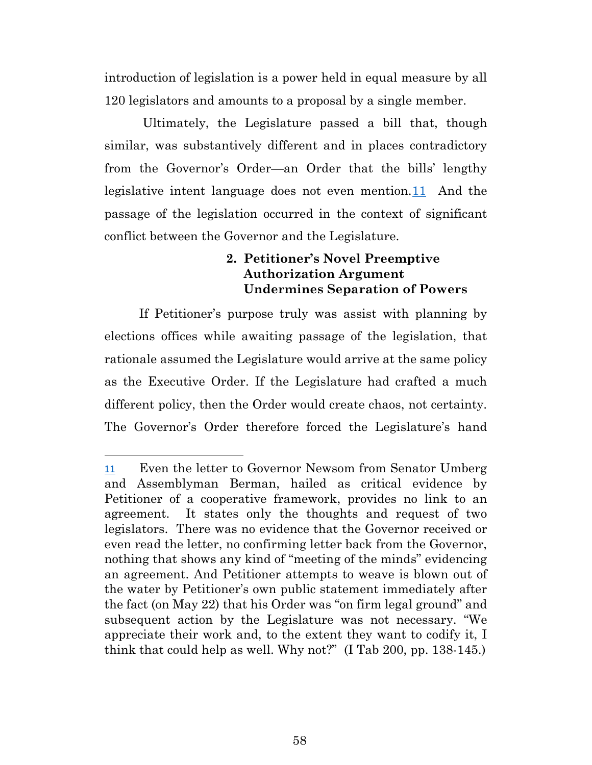introduction of legislation is a power held in equal measure by all 120 legislators and amounts to a proposal by a single member.

Ultimately, the Legislature passed a bill that, though similar, was substantively different and in places contradictory from the Governor's Order—an Order that the bills' lengthy legislative intent language does not even mention.[11](#page-57-0) And the passage of the legislation occurred in the context of significant conflict between the Governor and the Legislature.

## **2. Petitioner's Novel Preemptive Authorization Argument Undermines Separation of Powers**

If Petitioner's purpose truly was assist with planning by elections offices while awaiting passage of the legislation, that rationale assumed the Legislature would arrive at the same policy as the Executive Order. If the Legislature had crafted a much different policy, then the Order would create chaos, not certainty. The Governor's Order therefore forced the Legislature's hand

<span id="page-57-0"></span><sup>11</sup> Even the letter to Governor Newsom from Senator Umberg and Assemblyman Berman, hailed as critical evidence by Petitioner of a cooperative framework, provides no link to an agreement. It states only the thoughts and request of two legislators. There was no evidence that the Governor received or even read the letter, no confirming letter back from the Governor, nothing that shows any kind of "meeting of the minds" evidencing an agreement. And Petitioner attempts to weave is blown out of the water by Petitioner's own public statement immediately after the fact (on May 22) that his Order was "on firm legal ground" and subsequent action by the Legislature was not necessary. "We appreciate their work and, to the extent they want to codify it, I think that could help as well. Why not?" (I Tab 200, pp. 138-145.)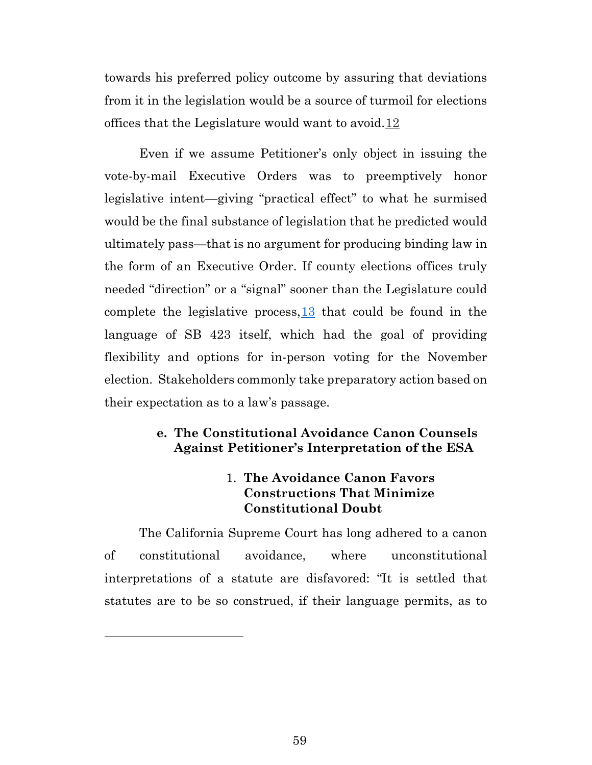towards his preferred policy outcome by assuring that deviations from it in the legislation would be a source of turmoil for elections offices that the Legislature would want to avoid.[12](#page-58-0)

Even if we assume Petitioner's only object in issuing the vote-by-mail Executive Orders was to preemptively honor legislative intent—giving "practical effect" to what he surmised would be the final substance of legislation that he predicted would ultimately pass—that is no argument for producing binding law in the form of an Executive Order. If county elections offices truly needed "direction" or a "signal" sooner than the Legislature could complete the legislative process,[13](#page-58-1) that could be found in the language of SB 423 itself, which had the goal of providing flexibility and options for in-person voting for the November election. Stakeholders commonly take preparatory action based on their expectation as to a law's passage.

## **e. The Constitutional Avoidance Canon Counsels Against Petitioner's Interpretation of the ESA**

# 1. **The Avoidance Canon Favors Constructions That Minimize Constitutional Doubt**

<span id="page-58-1"></span><span id="page-58-0"></span>The California Supreme Court has long adhered to a canon of constitutional avoidance, where unconstitutional interpretations of a statute are disfavored: "It is settled that statutes are to be so construed, if their language permits, as to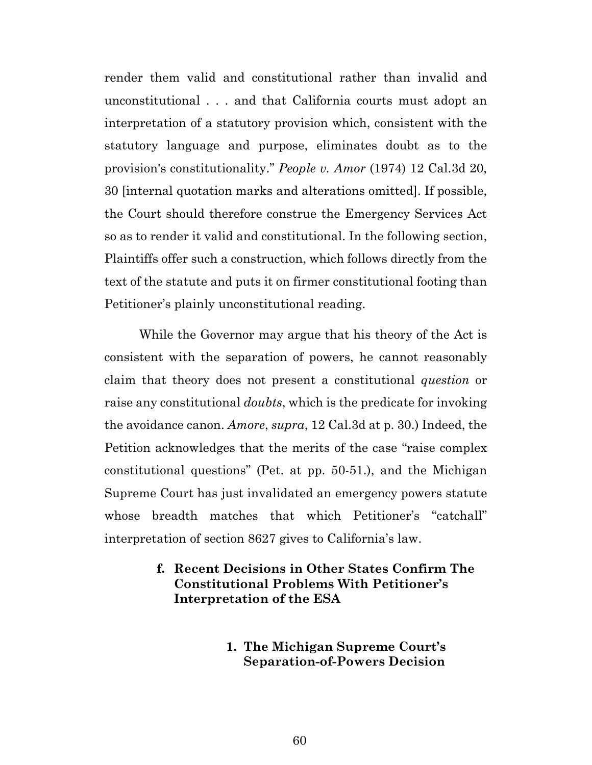render them valid and constitutional rather than invalid and unconstitutional . . . and that California courts must adopt an interpretation of a statutory provision which, consistent with the statutory language and purpose, eliminates doubt as to the provision's constitutionality." *People v. Amor* (1974) 12 Cal.3d 20, 30 [internal quotation marks and alterations omitted]. If possible, the Court should therefore construe the Emergency Services Act so as to render it valid and constitutional. In the following section, Plaintiffs offer such a construction, which follows directly from the text of the statute and puts it on firmer constitutional footing than Petitioner's plainly unconstitutional reading.

While the Governor may argue that his theory of the Act is consistent with the separation of powers, he cannot reasonably claim that theory does not present a constitutional *question* or raise any constitutional *doubts*, which is the predicate for invoking the avoidance canon. *Amore*, *supra*, 12 Cal.3d at p. 30.) Indeed, the Petition acknowledges that the merits of the case "raise complex constitutional questions" (Pet. at pp. 50-51.), and the Michigan Supreme Court has just invalidated an emergency powers statute whose breadth matches that which Petitioner's "catchall" interpretation of section 8627 gives to California's law.

## **f. Recent Decisions in Other States Confirm The Constitutional Problems With Petitioner's Interpretation of the ESA**

**1. The Michigan Supreme Court's Separation-of-Powers Decision**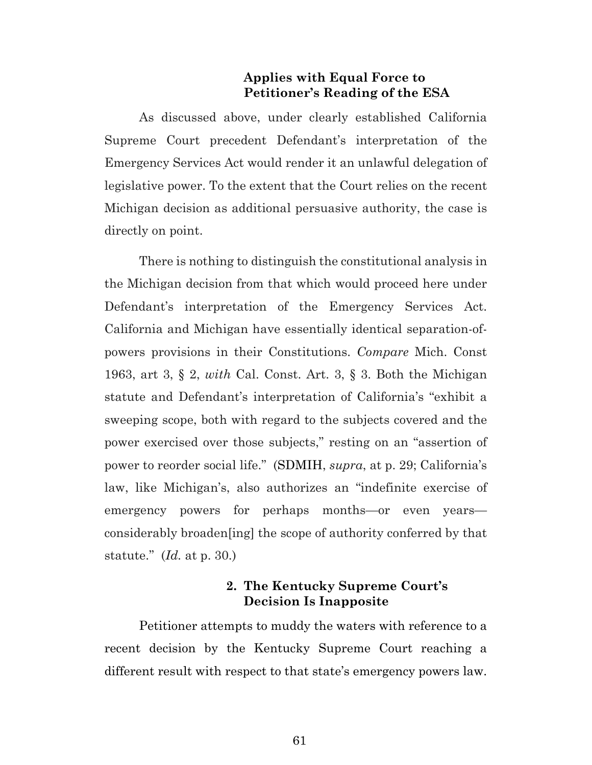### **Applies with Equal Force to Petitioner's Reading of the ESA**

As discussed above, under clearly established California Supreme Court precedent Defendant's interpretation of the Emergency Services Act would render it an unlawful delegation of legislative power. To the extent that the Court relies on the recent Michigan decision as additional persuasive authority, the case is directly on point.

There is nothing to distinguish the constitutional analysis in the Michigan decision from that which would proceed here under Defendant's interpretation of the Emergency Services Act. California and Michigan have essentially identical separation-ofpowers provisions in their Constitutions. *Compare* Mich. Const 1963, art 3, § 2, *with* Cal. Const. Art. 3, § 3. Both the Michigan statute and Defendant's interpretation of California's "exhibit a sweeping scope, both with regard to the subjects covered and the power exercised over those subjects," resting on an "assertion of power to reorder social life." (SDMIH, *supra*, at p. 29; California's law, like Michigan's, also authorizes an "indefinite exercise of emergency powers for perhaps months—or even years considerably broaden[ing] the scope of authority conferred by that statute." (*Id.* at p. 30.)

## **2. The Kentucky Supreme Court's Decision Is Inapposite**

Petitioner attempts to muddy the waters with reference to a recent decision by the Kentucky Supreme Court reaching a different result with respect to that state's emergency powers law.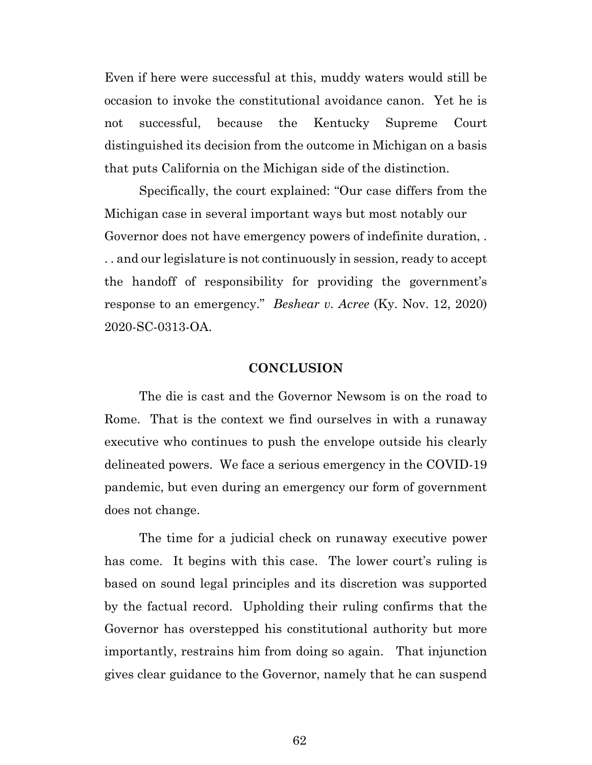Even if here were successful at this, muddy waters would still be occasion to invoke the constitutional avoidance canon. Yet he is not successful, because the Kentucky Supreme Court distinguished its decision from the outcome in Michigan on a basis that puts California on the Michigan side of the distinction.

Specifically, the court explained: "Our case differs from the Michigan case in several important ways but most notably our Governor does not have emergency powers of indefinite duration, . . . and our legislature is not continuously in session, ready to accept the handoff of responsibility for providing the government's response to an emergency." *Beshear v. Acree* (Ky. Nov. 12, 2020) 2020-SC-0313-OA.

#### **CONCLUSION**

The die is cast and the Governor Newsom is on the road to Rome. That is the context we find ourselves in with a runaway executive who continues to push the envelope outside his clearly delineated powers. We face a serious emergency in the COVID-19 pandemic, but even during an emergency our form of government does not change.

The time for a judicial check on runaway executive power has come. It begins with this case. The lower court's ruling is based on sound legal principles and its discretion was supported by the factual record. Upholding their ruling confirms that the Governor has overstepped his constitutional authority but more importantly, restrains him from doing so again. That injunction gives clear guidance to the Governor, namely that he can suspend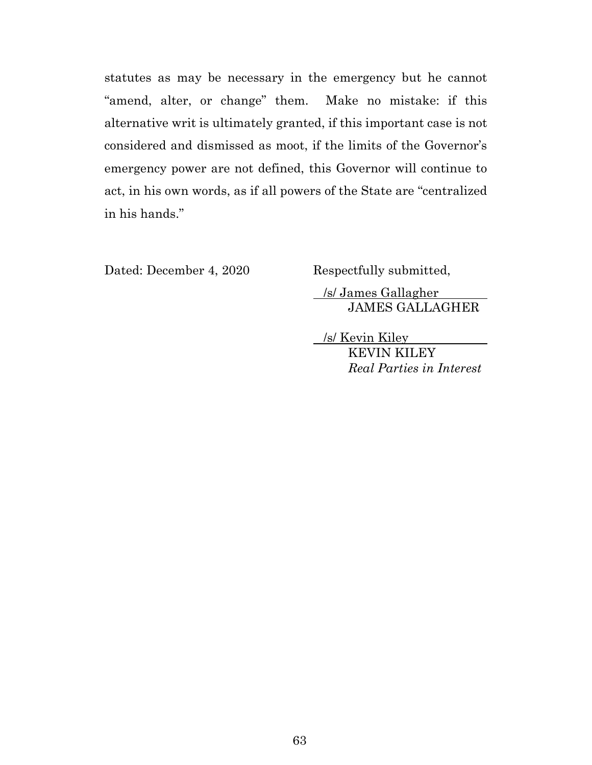statutes as may be necessary in the emergency but he cannot "amend, alter, or change" them. Make no mistake: if this alternative writ is ultimately granted, if this important case is not considered and dismissed as moot, if the limits of the Governor's emergency power are not defined, this Governor will continue to act, in his own words, as if all powers of the State are "centralized in his hands."

Dated: December 4, 2020 Respectfully submitted,

 /s/ James Gallagher JAMES GALLAGHER

 /s/ Kevin Kiley KEVIN KILEY *Real Parties in Interest*